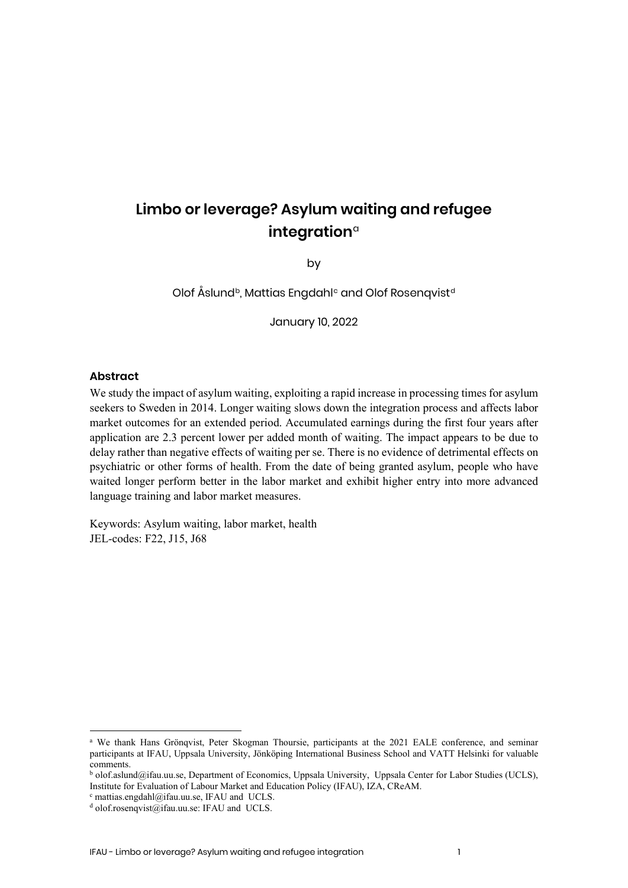# **Limbo or leverage? Asylum waiting and refugee integration**[a](#page-0-0)

by

Olof Åslund<sup>b</sup>, Mattias Engdahl<sup>[c](#page-0-2)</sup> an[d](#page-0-3) Olof Rosenqvist<sup>d</sup>

January 10, 2022

#### **Abstract**

We study the impact of asylum waiting, exploiting a rapid increase in processing times for asylum seekers to Sweden in 2014. Longer waiting slows down the integration process and affects labor market outcomes for an extended period. Accumulated earnings during the first four years after application are 2.3 percent lower per added month of waiting. The impact appears to be due to delay rather than negative effects of waiting per se. There is no evidence of detrimental effects on psychiatric or other forms of health. From the date of being granted asylum, people who have waited longer perform better in the labor market and exhibit higher entry into more advanced language training and labor market measures.

Keywords: Asylum waiting, labor market, health JEL-codes: F22, J15, J68

<span id="page-0-0"></span><sup>a</sup> We thank Hans Grönqvist, Peter Skogman Thoursie, participants at the 2021 EALE conference, and seminar participants at IFAU, Uppsala University, Jönköping International Business School and VATT Helsinki for valuable comments.

<span id="page-0-1"></span><sup>b</sup> olof.aslund@ifau.uu.se, Department of Economics, Uppsala University, Uppsala Center for Labor Studies (UCLS), Institute for Evaluation of Labour Market and Education Policy (IFAU), IZA, CReAM.

 $c$  mattias.engdahl@ifau.uu.se, IFAU and UCLS.

<span id="page-0-3"></span><span id="page-0-2"></span>d olof.rosenqvist@ifau.uu.se: IFAU and UCLS.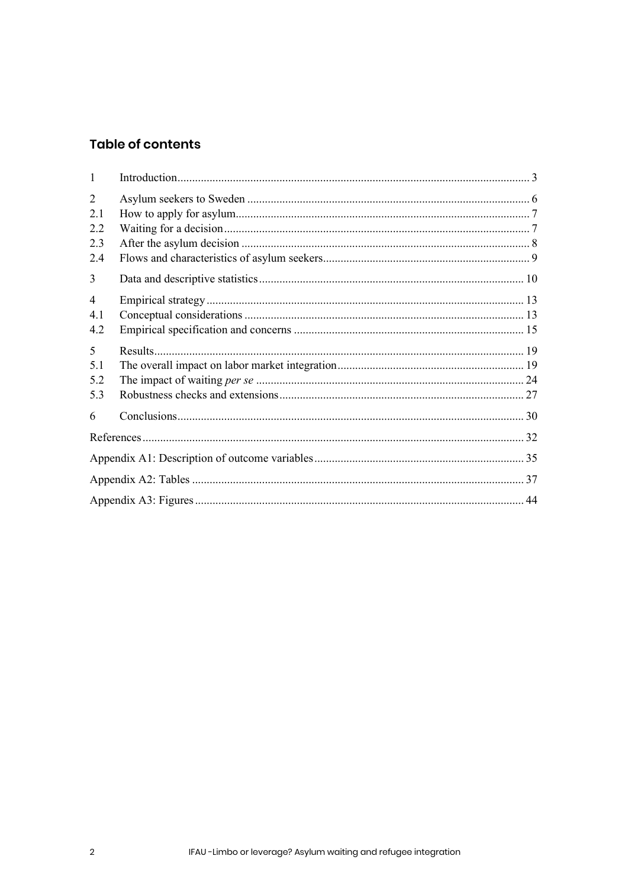## **Table of contents**

| $\mathbf{1}$   |  |
|----------------|--|
| $\overline{2}$ |  |
| 2.1            |  |
| 2.2            |  |
| 2.3            |  |
| 2.4            |  |
| 3              |  |
| $\overline{4}$ |  |
| 4.1            |  |
| 4.2            |  |
| 5              |  |
| 5.1            |  |
| 5.2            |  |
| 5.3            |  |
| 6              |  |
|                |  |
|                |  |
|                |  |
|                |  |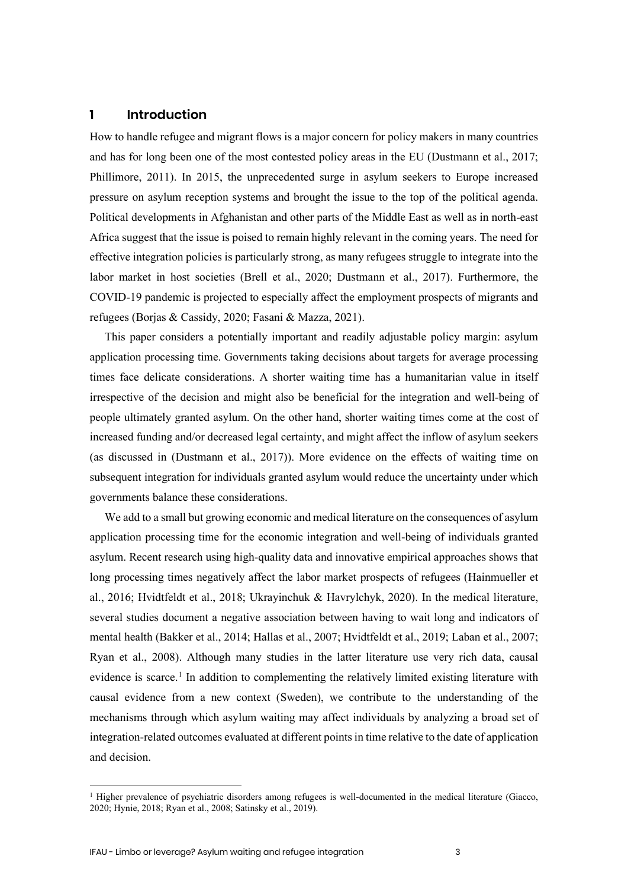#### <span id="page-2-0"></span>**1 Introduction**

How to handle refugee and migrant flows is a major concern for policy makers in many countries and has for long been one of the most contested policy areas in the EU (Dustmann et al., 2017; Phillimore, 2011). In 2015, the unprecedented surge in asylum seekers to Europe increased pressure on asylum reception systems and brought the issue to the top of the political agenda. Political developments in Afghanistan and other parts of the Middle East as well as in north-east Africa suggest that the issue is poised to remain highly relevant in the coming years. The need for effective integration policies is particularly strong, as many refugees struggle to integrate into the labor market in host societies (Brell et al., 2020; Dustmann et al., 2017). Furthermore, the COVID-19 pandemic is projected to especially affect the employment prospects of migrants and refugees (Borjas & Cassidy, 2020; Fasani & Mazza, 2021).

This paper considers a potentially important and readily adjustable policy margin: asylum application processing time. Governments taking decisions about targets for average processing times face delicate considerations. A shorter waiting time has a humanitarian value in itself irrespective of the decision and might also be beneficial for the integration and well-being of people ultimately granted asylum. On the other hand, shorter waiting times come at the cost of increased funding and/or decreased legal certainty, and might affect the inflow of asylum seekers (as discussed in (Dustmann et al., 2017)). More evidence on the effects of waiting time on subsequent integration for individuals granted asylum would reduce the uncertainty under which governments balance these considerations.

We add to a small but growing economic and medical literature on the consequences of asylum application processing time for the economic integration and well-being of individuals granted asylum. Recent research using high-quality data and innovative empirical approaches shows that long processing times negatively affect the labor market prospects of refugees (Hainmueller et al., 2016; Hvidtfeldt et al., 2018; Ukrayinchuk & Havrylchyk, 2020). In the medical literature, several studies document a negative association between having to wait long and indicators of mental health (Bakker et al., 2014; Hallas et al., 2007; Hvidtfeldt et al., 2019; Laban et al., 2007; Ryan et al., 2008). Although many studies in the latter literature use very rich data, causal evidence is scarce.<sup>[1](#page-2-1)</sup> In addition to complementing the relatively limited existing literature with causal evidence from a new context (Sweden), we contribute to the understanding of the mechanisms through which asylum waiting may affect individuals by analyzing a broad set of integration-related outcomes evaluated at different points in time relative to the date of application and decision.

<span id="page-2-1"></span><sup>&</sup>lt;sup>1</sup> Higher prevalence of psychiatric disorders among refugees is well-documented in the medical literature (Giacco, 2020; Hynie, 2018; Ryan et al., 2008; Satinsky et al., 2019).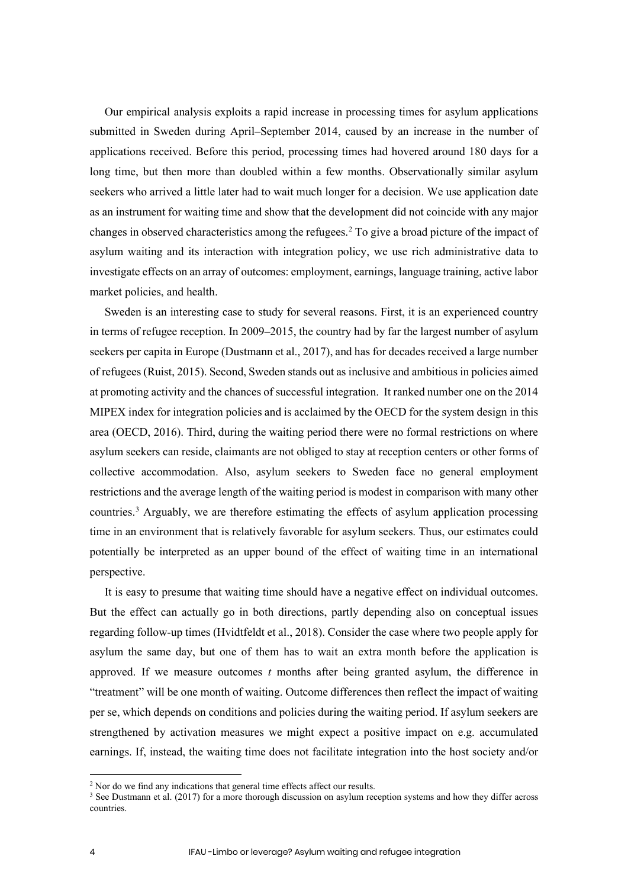Our empirical analysis exploits a rapid increase in processing times for asylum applications submitted in Sweden during April–September 2014, caused by an increase in the number of applications received. Before this period, processing times had hovered around 180 days for a long time, but then more than doubled within a few months. Observationally similar asylum seekers who arrived a little later had to wait much longer for a decision. We use application date as an instrument for waiting time and show that the development did not coincide with any major changes in observed characteristics among the refugees. [2](#page-3-0) To give a broad picture of the impact of asylum waiting and its interaction with integration policy, we use rich administrative data to investigate effects on an array of outcomes: employment, earnings, language training, active labor market policies, and health.

Sweden is an interesting case to study for several reasons. First, it is an experienced country in terms of refugee reception. In 2009–2015, the country had by far the largest number of asylum seekers per capita in Europe (Dustmann et al., 2017), and has for decades received a large number of refugees (Ruist, 2015). Second, Sweden stands out as inclusive and ambitious in policies aimed at promoting activity and the chances of successful integration. It ranked number one on the 2014 MIPEX index for integration policies and is acclaimed by the OECD for the system design in this area (OECD, 2016). Third, during the waiting period there were no formal restrictions on where asylum seekers can reside, claimants are not obliged to stay at reception centers or other forms of collective accommodation. Also, asylum seekers to Sweden face no general employment restrictions and the average length of the waiting period is modest in comparison with many other countries.<sup>[3](#page-3-1)</sup> Arguably, we are therefore estimating the effects of asylum application processing time in an environment that is relatively favorable for asylum seekers. Thus, our estimates could potentially be interpreted as an upper bound of the effect of waiting time in an international perspective.

It is easy to presume that waiting time should have a negative effect on individual outcomes. But the effect can actually go in both directions, partly depending also on conceptual issues regarding follow-up times (Hvidtfeldt et al., 2018). Consider the case where two people apply for asylum the same day, but one of them has to wait an extra month before the application is approved. If we measure outcomes  $t$  months after being granted asylum, the difference in "treatment" will be one month of waiting. Outcome differences then reflect the impact of waiting per se, which depends on conditions and policies during the waiting period. If asylum seekers are strengthened by activation measures we might expect a positive impact on e.g. accumulated earnings. If, instead, the waiting time does not facilitate integration into the host society and/or

<span id="page-3-0"></span><sup>&</sup>lt;sup>2</sup> Nor do we find any indications that general time effects affect our results.

<span id="page-3-1"></span><sup>&</sup>lt;sup>3</sup> See Dustmann et al. (2017) for a more thorough discussion on asylum reception systems and how they differ across countries.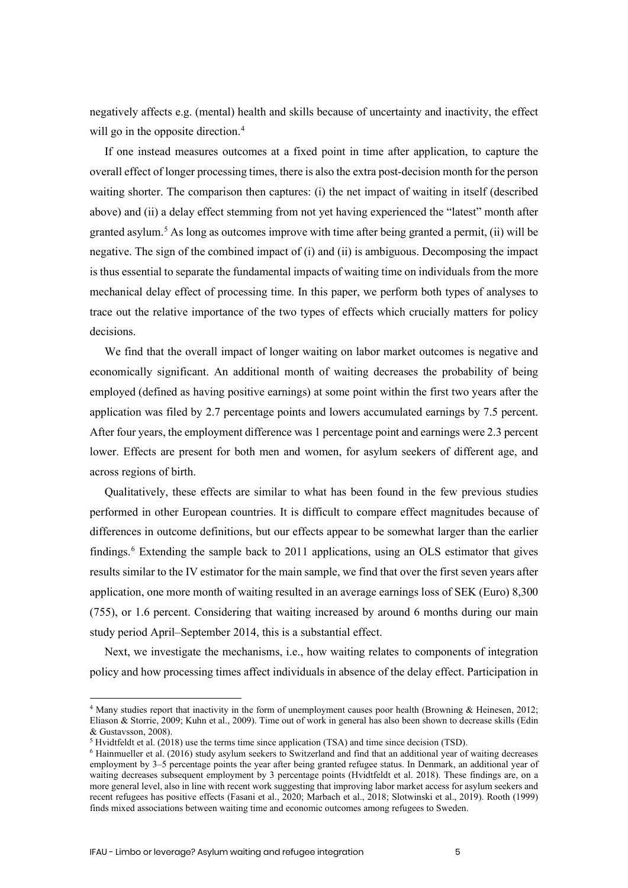negatively affects e.g. (mental) health and skills because of uncertainty and inactivity, the effect will go in the opposite direction.<sup>[4](#page-4-0)</sup>

If one instead measures outcomes at a fixed point in time after application, to capture the overall effect of longer processing times, there is also the extra post-decision month for the person waiting shorter. The comparison then captures: (i) the net impact of waiting in itself (described above) and (ii) a delay effect stemming from not yet having experienced the "latest" month after granted asylum.<sup>[5](#page-4-1)</sup> As long as outcomes improve with time after being granted a permit, (ii) will be negative. The sign of the combined impact of (i) and (ii) is ambiguous. Decomposing the impact is thus essential to separate the fundamental impacts of waiting time on individuals from the more mechanical delay effect of processing time. In this paper, we perform both types of analyses to trace out the relative importance of the two types of effects which crucially matters for policy decisions.

We find that the overall impact of longer waiting on labor market outcomes is negative and economically significant. An additional month of waiting decreases the probability of being employed (defined as having positive earnings) at some point within the first two years after the application was filed by 2.7 percentage points and lowers accumulated earnings by 7.5 percent. After four years, the employment difference was 1 percentage point and earnings were 2.3 percent lower. Effects are present for both men and women, for asylum seekers of different age, and across regions of birth.

Qualitatively, these effects are similar to what has been found in the few previous studies performed in other European countries. It is difficult to compare effect magnitudes because of differences in outcome definitions, but our effects appear to be somewhat larger than the earlier findings. [6](#page-4-2) Extending the sample back to 2011 applications, using an OLS estimator that gives results similar to the IV estimator for the main sample, we find that over the first seven years after application, one more month of waiting resulted in an average earnings loss of SEK (Euro) 8,300 (755), or 1.6 percent. Considering that waiting increased by around 6 months during our main study period April–September 2014, this is a substantial effect.

Next, we investigate the mechanisms, i.e., how waiting relates to components of integration policy and how processing times affect individuals in absence of the delay effect. Participation in

<span id="page-4-0"></span><sup>&</sup>lt;sup>4</sup> Many studies report that inactivity in the form of unemployment causes poor health (Browning & Heinesen, 2012; Eliason & Storrie, 2009; Kuhn et al., 2009). Time out of work in general has also been shown to decrease skills (Edin & Gustavsson, 2008).

<span id="page-4-2"></span><span id="page-4-1"></span><sup>&</sup>lt;sup>5</sup> Hvidtfeldt et al. (2018) use the terms time since application (TSA) and time since decision (TSD).  $\frac{6}{100}$  functional year of waiting decreases employment by 3–5 percentage points the year after being granted refugee status. In Denmark, an additional year of waiting decreases subsequent employment by 3 percentage points (Hvidtfeldt et al. 2018). These findings are, on a more general level, also in line with recent work suggesting that improving labor market access for asylum seekers and recent refugees has positive effects (Fasani et al., 2020; Marbach et al., 2018; Slotwinski et al., 2019). Rooth (1999) finds mixed associations between waiting time and economic outcomes among refugees to Sweden.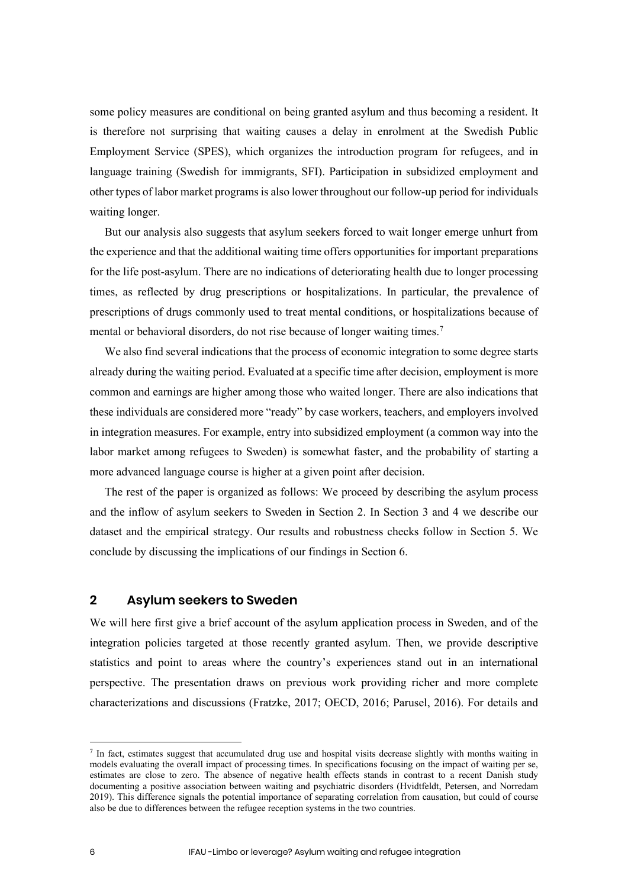some policy measures are conditional on being granted asylum and thus becoming a resident. It is therefore not surprising that waiting causes a delay in enrolment at the Swedish Public Employment Service (SPES), which organizes the introduction program for refugees, and in language training (Swedish for immigrants, SFI). Participation in subsidized employment and other types of labor market programs is also lower throughout our follow-up period for individuals waiting longer.

But our analysis also suggests that asylum seekers forced to wait longer emerge unhurt from the experience and that the additional waiting time offers opportunities for important preparations for the life post-asylum. There are no indications of deteriorating health due to longer processing times, as reflected by drug prescriptions or hospitalizations. In particular, the prevalence of prescriptions of drugs commonly used to treat mental conditions, or hospitalizations because of mental or behavioral disorders, do not rise because of longer waiting times.<sup>[7](#page-5-1)</sup>

We also find several indications that the process of economic integration to some degree starts already during the waiting period. Evaluated at a specific time after decision, employment is more common and earnings are higher among those who waited longer. There are also indications that these individuals are considered more "ready" by case workers, teachers, and employers involved in integration measures. For example, entry into subsidized employment (a common way into the labor market among refugees to Sweden) is somewhat faster, and the probability of starting a more advanced language course is higher at a given point after decision.

The rest of the paper is organized as follows: We proceed by describing the asylum process and the inflow of asylum seekers to Sweden in Section [2.](#page-5-0) In Section [3](#page-9-0) and [4](#page-12-0) we describe our dataset and the empirical strategy. Our results and robustness checks follow in Section [5.](#page-18-0) We conclude by discussing the implications of our findings in Section [6.](#page-29-0)

#### <span id="page-5-0"></span>**2 Asylum seekers to Sweden**

We will here first give a brief account of the asylum application process in Sweden, and of the integration policies targeted at those recently granted asylum. Then, we provide descriptive statistics and point to areas where the country's experiences stand out in an international perspective. The presentation draws on previous work providing richer and more complete characterizations and discussions (Fratzke, 2017; OECD, 2016; Parusel, 2016). For details and

<span id="page-5-1"></span><sup>7</sup> In fact, estimates suggest that accumulated drug use and hospital visits decrease slightly with months waiting in models evaluating the overall impact of processing times. In specifications focusing on the impact of waiting per se, estimates are close to zero. The absence of negative health effects stands in contrast to a recent Danish study documenting a positive association between waiting and psychiatric disorders (Hvidtfeldt, Petersen, and Norredam 2019). This difference signals the potential importance of separating correlation from causation, but could of course also be due to differences between the refugee reception systems in the two countries.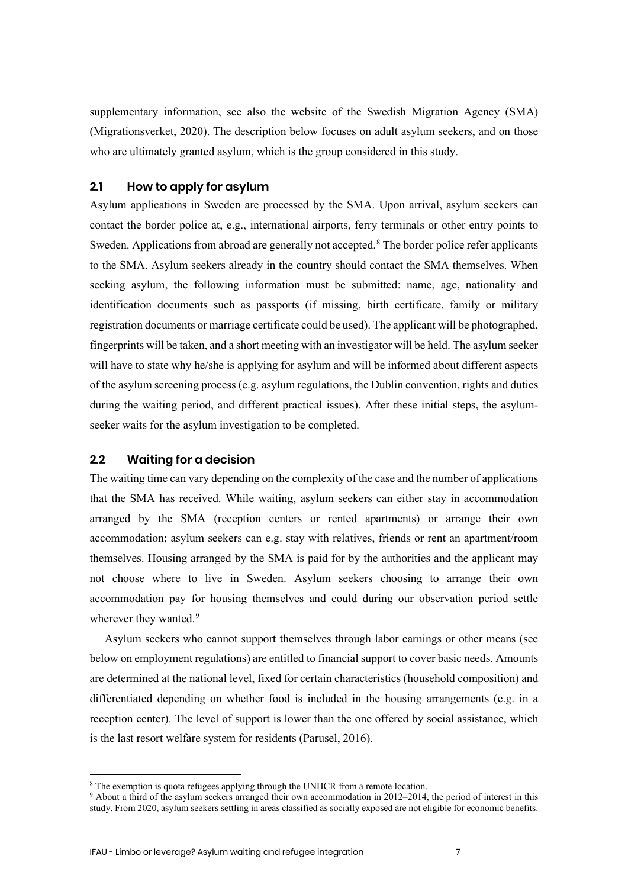supplementary information, see also the website of the Swedish Migration Agency (SMA) (Migrationsverket, 2020). The description below focuses on adult asylum seekers, and on those who are ultimately granted asylum, which is the group considered in this study.

#### <span id="page-6-0"></span>**2.1 How to apply for asylum**

Asylum applications in Sweden are processed by the SMA. Upon arrival, asylum seekers can contact the border police at, e.g., international airports, ferry terminals or other entry points to Sweden. Applications from abroad are generally not accepted.<sup>[8](#page-6-2)</sup> The border police refer applicants to the SMA. Asylum seekers already in the country should contact the SMA themselves. When seeking asylum, the following information must be submitted: name, age, nationality and identification documents such as passports (if missing, birth certificate, family or military registration documents or marriage certificate could be used). The applicant will be photographed, fingerprints will be taken, and a short meeting with an investigator will be held. The asylum seeker will have to state why he/she is applying for asylum and will be informed about different aspects of the asylum screening process (e.g. asylum regulations, the Dublin convention, rights and duties during the waiting period, and different practical issues). After these initial steps, the asylumseeker waits for the asylum investigation to be completed.

## <span id="page-6-1"></span>**2.2 Waiting for a decision**

The waiting time can vary depending on the complexity of the case and the number of applications that the SMA has received. While waiting, asylum seekers can either stay in accommodation arranged by the SMA (reception centers or rented apartments) or arrange their own accommodation; asylum seekers can e.g. stay with relatives, friends or rent an apartment/room themselves. Housing arranged by the SMA is paid for by the authorities and the applicant may not choose where to live in Sweden. Asylum seekers choosing to arrange their own accommodation pay for housing themselves and could during our observation period settle wherever they wanted.<sup>[9](#page-6-3)</sup>

Asylum seekers who cannot support themselves through labor earnings or other means (see below on employment regulations) are entitled to financial support to cover basic needs. Amounts are determined at the national level, fixed for certain characteristics (household composition) and differentiated depending on whether food is included in the housing arrangements (e.g. in a reception center). The level of support is lower than the one offered by social assistance, which is the last resort welfare system for residents (Parusel, 2016).

<sup>&</sup>lt;sup>8</sup> The exemption is quota refugees applying through the UNHCR from a remote location.

<span id="page-6-3"></span><span id="page-6-2"></span><sup>9</sup> About a third of the asylum seekers arranged their own accommodation in 2012–2014, the period of interest in this study. From 2020, asylum seekers settling in areas classified as socially exposed are not eligible for economic benefits.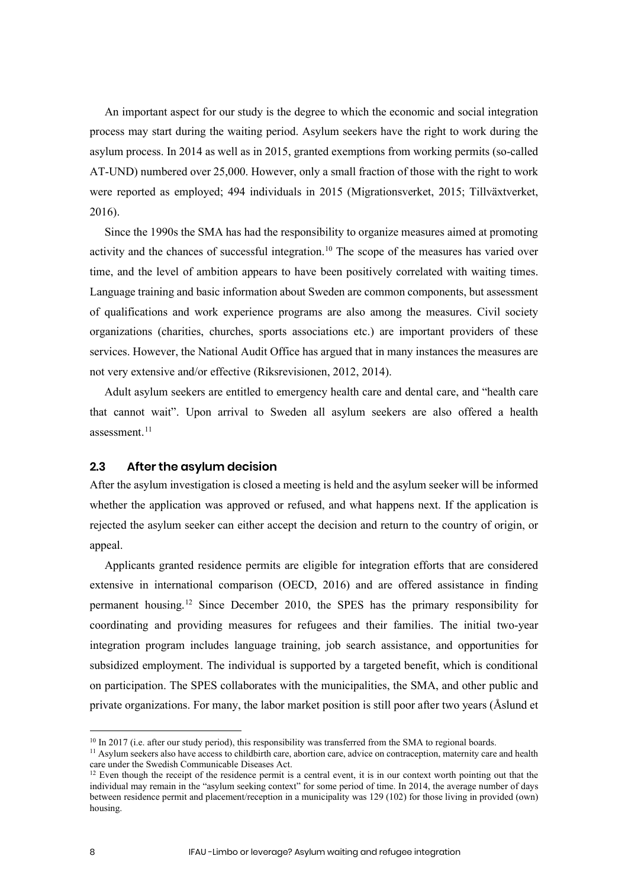An important aspect for our study is the degree to which the economic and social integration process may start during the waiting period. Asylum seekers have the right to work during the asylum process. In 2014 as well as in 2015, granted exemptions from working permits (so-called AT-UND) numbered over 25,000. However, only a small fraction of those with the right to work were reported as employed; 494 individuals in 2015 (Migrationsverket, 2015; Tillväxtverket, 2016).

Since the 1990s the SMA has had the responsibility to organize measures aimed at promoting activity and the chances of successful integration.<sup>[10](#page-7-1)</sup> The scope of the measures has varied over time, and the level of ambition appears to have been positively correlated with waiting times. Language training and basic information about Sweden are common components, but assessment of qualifications and work experience programs are also among the measures. Civil society organizations (charities, churches, sports associations etc.) are important providers of these services. However, the National Audit Office has argued that in many instances the measures are not very extensive and/or effective (Riksrevisionen, 2012, 2014).

Adult asylum seekers are entitled to emergency health care and dental care, and "health care that cannot wait". Upon arrival to Sweden all asylum seekers are also offered a health assessment.<sup>[11](#page-7-2)</sup>

### <span id="page-7-0"></span>**2.3 After the asylum decision**

After the asylum investigation is closed a meeting is held and the asylum seeker will be informed whether the application was approved or refused, and what happens next. If the application is rejected the asylum seeker can either accept the decision and return to the country of origin, or appeal.

Applicants granted residence permits are eligible for integration efforts that are considered extensive in international comparison (OECD, 2016) and are offered assistance in finding permanent housing.[12](#page-7-3) Since December 2010, the SPES has the primary responsibility for coordinating and providing measures for refugees and their families. The initial two-year integration program includes language training, job search assistance, and opportunities for subsidized employment. The individual is supported by a targeted benefit, which is conditional on participation. The SPES collaborates with the municipalities, the SMA, and other public and private organizations. For many, the labor market position is still poor after two years (Åslund et

<span id="page-7-2"></span>

<span id="page-7-1"></span> $^{10}$  In 2017 (i.e. after our study period), this responsibility was transferred from the SMA to regional boards.<br> $^{11}$  Asylum seekers also have access to childbirth care, abortion care, advice on contraception, materni care under the Swedish Communicable Diseases Act.

<span id="page-7-3"></span> $12$  Even though the receipt of the residence permit is a central event, it is in our context worth pointing out that the individual may remain in the "asylum seeking context" for some period of time. In 2014, the average number of days between residence permit and placement/reception in a municipality was 129 (102) for those living in provided (own) housing.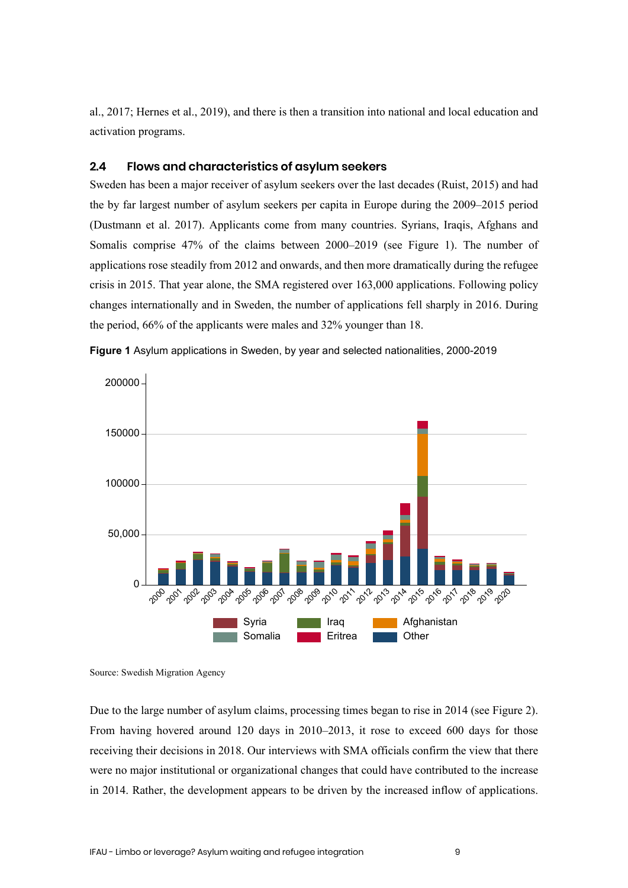al., 2017; Hernes et al., 2019), and there is then a transition into national and local education and activation programs.

## <span id="page-8-0"></span>**2.4 Flows and characteristics of asylum seekers**

Sweden has been a major receiver of asylum seekers over the last decades (Ruist, 2015) and had the by far largest number of asylum seekers per capita in Europe during the 2009–2015 period (Dustmann et al. 2017). Applicants come from many countries. Syrians, Iraqis, Afghans and Somalis comprise 47% of the claims between 2000–2019 (see Figure 1). The number of applications rose steadily from 2012 and onwards, and then more dramatically during the refugee crisis in 2015. That year alone, the SMA registered over 163,000 applications. Following policy changes internationally and in Sweden, the number of applications fell sharply in 2016. During the period, 66% of the applicants were males and 32% younger than 18.



**Figure 1** Asylum applications in Sweden, by year and selected nationalities, 2000-2019

Source: Swedish Migration Agency

Due to the large number of asylum claims, processing times began to rise in 2014 (see [Figure 2\)](#page-9-1). From having hovered around 120 days in 2010–2013, it rose to exceed 600 days for those receiving their decisions in 2018. Our interviews with SMA officials confirm the view that there were no major institutional or organizational changes that could have contributed to the increase in 2014. Rather, the development appears to be driven by the increased inflow of applications.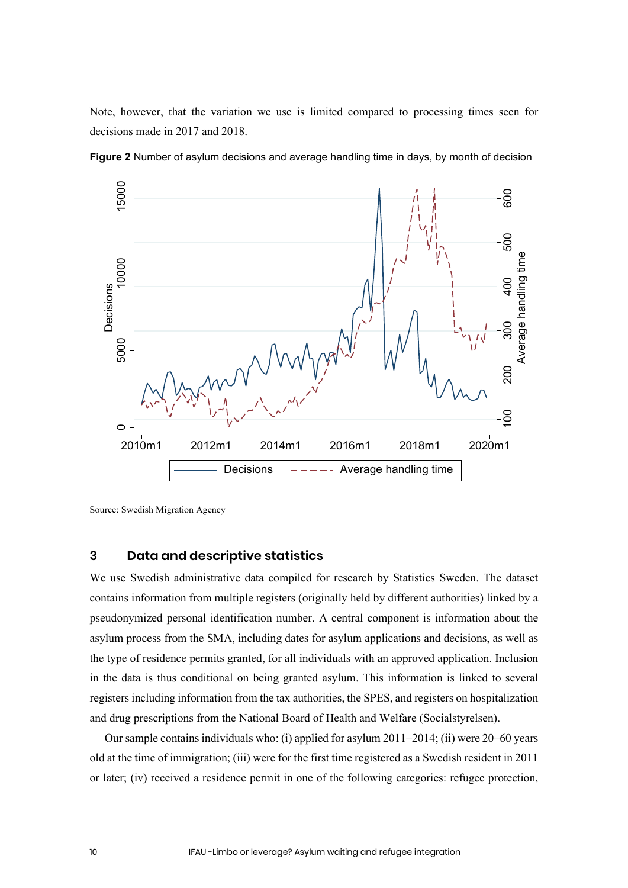Note, however, that the variation we use is limited compared to processing times seen for decisions made in 2017 and 2018.



<span id="page-9-1"></span>**Figure 2** Number of asylum decisions and average handling time in days, by month of decision

<span id="page-9-0"></span>Source: Swedish Migration Agency

## **3 Data and descriptive statistics**

We use Swedish administrative data compiled for research by Statistics Sweden. The dataset contains information from multiple registers (originally held by different authorities) linked by a pseudonymized personal identification number. A central component is information about the asylum process from the SMA, including dates for asylum applications and decisions, as well as the type of residence permits granted, for all individuals with an approved application. Inclusion in the data is thus conditional on being granted asylum. This information is linked to several registers including information from the tax authorities, the SPES, and registers on hospitalization and drug prescriptions from the National Board of Health and Welfare (Socialstyrelsen).

Our sample contains individuals who: (i) applied for asylum 2011–2014; (ii) were 20–60 years old at the time of immigration; (iii) were for the first time registered as a Swedish resident in 2011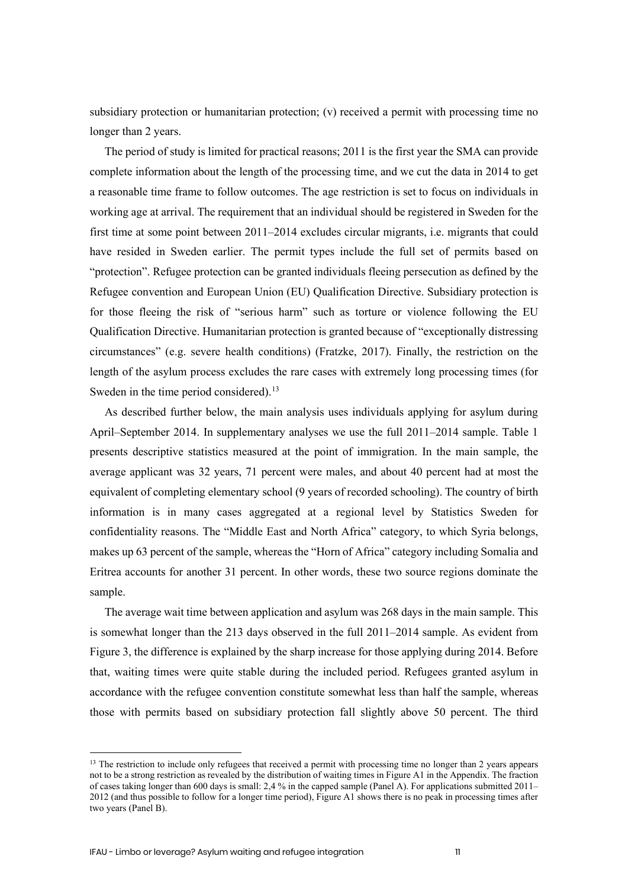subsidiary protection or humanitarian protection; (v) received a permit with processing time no longer than 2 years.

The period of study is limited for practical reasons; 2011 is the first year the SMA can provide complete information about the length of the processing time, and we cut the data in 2014 to get a reasonable time frame to follow outcomes. The age restriction is set to focus on individuals in working age at arrival. The requirement that an individual should be registered in Sweden for the first time at some point between 2011–2014 excludes circular migrants, i.e. migrants that could have resided in Sweden earlier. The permit types include the full set of permits based on "protection". Refugee protection can be granted individuals fleeing persecution as defined by the Refugee convention and European Union (EU) Qualification Directive. Subsidiary protection is for those fleeing the risk of "serious harm" such as torture or violence following the EU Qualification Directive. Humanitarian protection is granted because of "exceptionally distressing circumstances" (e.g. severe health conditions) (Fratzke, 2017). Finally, the restriction on the length of the asylum process excludes the rare cases with extremely long processing times (for Sweden in the time period considered).<sup>[13](#page-10-0)</sup>

As described further below, the main analysis uses individuals applying for asylum during April–September 2014. In supplementary analyses we use the full 2011–2014 sample. [Table 1](#page-11-0) presents descriptive statistics measured at the point of immigration. In the main sample, the average applicant was 32 years, 71 percent were males, and about 40 percent had at most the equivalent of completing elementary school (9 years of recorded schooling). The country of birth information is in many cases aggregated at a regional level by Statistics Sweden for confidentiality reasons. The "Middle East and North Africa" category, to which Syria belongs, makes up 63 percent of the sample, whereas the "Horn of Africa" category including Somalia and Eritrea accounts for another 31 percent. In other words, these two source regions dominate the sample.

The average wait time between application and asylum was 268 days in the main sample. This is somewhat longer than the 213 days observed in the full 2011–2014 sample. As evident from [Figure 3,](#page-12-2) the difference is explained by the sharp increase for those applying during 2014. Before that, waiting times were quite stable during the included period. Refugees granted asylum in accordance with the refugee convention constitute somewhat less than half the sample, whereas those with permits based on subsidiary protection fall slightly above 50 percent. The third

<span id="page-10-0"></span> $13$  The restriction to include only refugees that received a permit with processing time no longer than 2 years appears not to be a strong restriction as revealed by the distribution of waiting times in [Figure A1](#page-43-1) in the Appendix. The fraction of cases taking longer than 600 days is small: 2,4 % in the capped sample (Panel A). For applications submitted 2011– 2012 (and thus possible to follow for a longer time period), [Figure A1](#page-43-1) shows there is no peak in processing times after two years (Panel B).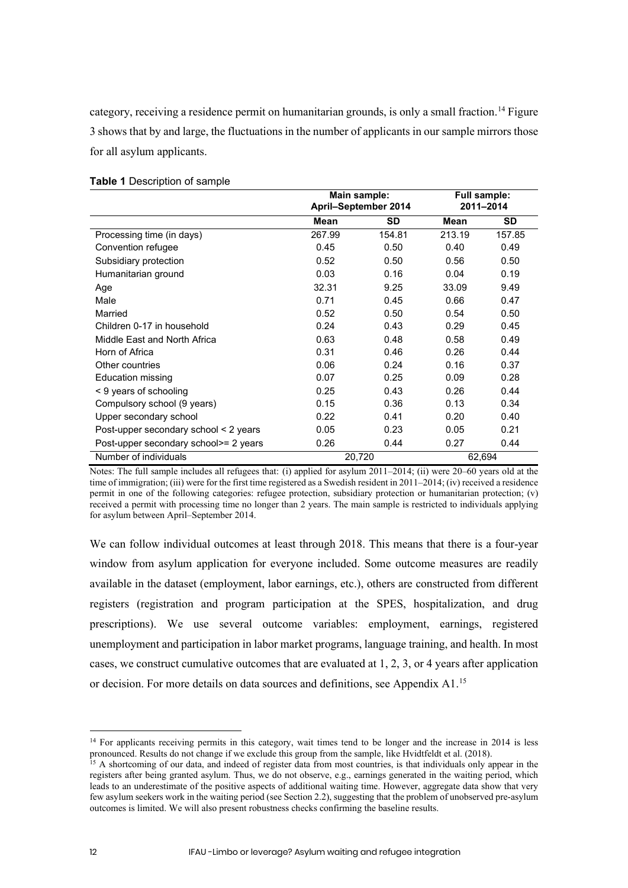category, receiving a residence permit on humanitarian grounds, is only a small fraction.[14](#page-11-1) [Figure](#page-12-2)  [3](#page-12-2) shows that by and large, the fluctuations in the number of applicants in our sample mirrors those for all asylum applicants.

|                                       | Main sample:<br>April-September 2014 |           | <b>Full sample:</b><br>2011-2014 |           |
|---------------------------------------|--------------------------------------|-----------|----------------------------------|-----------|
|                                       | Mean                                 | <b>SD</b> | Mean                             | <b>SD</b> |
| Processing time (in days)             | 267.99                               | 154.81    | 213.19                           | 157.85    |
| Convention refugee                    | 0.45                                 | 0.50      | 0.40                             | 0.49      |
| Subsidiary protection                 | 0.52                                 | 0.50      | 0.56                             | 0.50      |
| Humanitarian ground                   | 0.03                                 | 0.16      | 0.04                             | 0.19      |
| Age                                   | 32.31                                | 9.25      | 33.09                            | 9.49      |
| Male                                  | 0.71                                 | 0.45      | 0.66                             | 0.47      |
| Married                               | 0.52                                 | 0.50      | 0.54                             | 0.50      |
| Children 0-17 in household            | 0.24                                 | 0.43      | 0.29                             | 0.45      |
| Middle East and North Africa          | 0.63                                 | 0.48      | 0.58                             | 0.49      |
| Horn of Africa                        | 0.31                                 | 0.46      | 0.26                             | 0.44      |
| Other countries                       | 0.06                                 | 0.24      | 0.16                             | 0.37      |
| <b>Education missing</b>              | 0.07                                 | 0.25      | 0.09                             | 0.28      |
| < 9 years of schooling                | 0.25                                 | 0.43      | 0.26                             | 0.44      |
| Compulsory school (9 years)           | 0.15                                 | 0.36      | 0.13                             | 0.34      |
| Upper secondary school                | 0.22                                 | 0.41      | 0.20                             | 0.40      |
| Post-upper secondary school < 2 years | 0.05                                 | 0.23      | 0.05                             | 0.21      |
| Post-upper secondary school>= 2 years | 0.26                                 | 0.44      | 0.27                             | 0.44      |
| Number of individuals                 | 20,720                               |           | 62,694                           |           |

#### <span id="page-11-0"></span>**Table 1** Description of sample

Notes: The full sample includes all refugees that: (i) applied for asylum 2011–2014; (ii) were 20–60 years old at the time of immigration; (iii) were for the first time registered as a Swedish resident in 2011–2014; (iv) received a residence permit in one of the following categories: refugee protection, subsidiary protection or humanitarian protection; (v) received a permit with processing time no longer than 2 years. The main sample is restricted to individuals applying for asylum between April–September 2014.

We can follow individual outcomes at least through 2018. This means that there is a four-year window from asylum application for everyone included. Some outcome measures are readily available in the dataset (employment, labor earnings, etc.), others are constructed from different registers (registration and program participation at the SPES, hospitalization, and drug prescriptions). We use several outcome variables: employment, earnings, registered unemployment and participation in labor market programs, language training, and health. In most cases, we construct cumulative outcomes that are evaluated at 1, 2, 3, or 4 years after application or decision. For more details on data sources and definitions, see [Appendix A1.](#page-34-0)<sup>[15](#page-11-2)</sup>

<span id="page-11-1"></span><sup>&</sup>lt;sup>14</sup> For applicants receiving permits in this category, wait times tend to be longer and the increase in 2014 is less pronounced. Results do not change if we exclude this group from the sample, like Hvidtfeldt et al. (2018).

<span id="page-11-2"></span><sup>&</sup>lt;sup>15</sup> A shortcoming of our data, and indeed of register data from most countries, is that individuals only appear in the registers after being granted asylum. Thus, we do not observe, e.g., earnings generated in the waiting period, which leads to an underestimate of the positive aspects of additional waiting time. However, aggregate data show that very few asylum seekers work in the waiting period (see Sectio[n 2.2\)](#page-6-1), suggesting that the problem of unobserved pre-asylum outcomes is limited. We will also present robustness checks confirming the baseline results.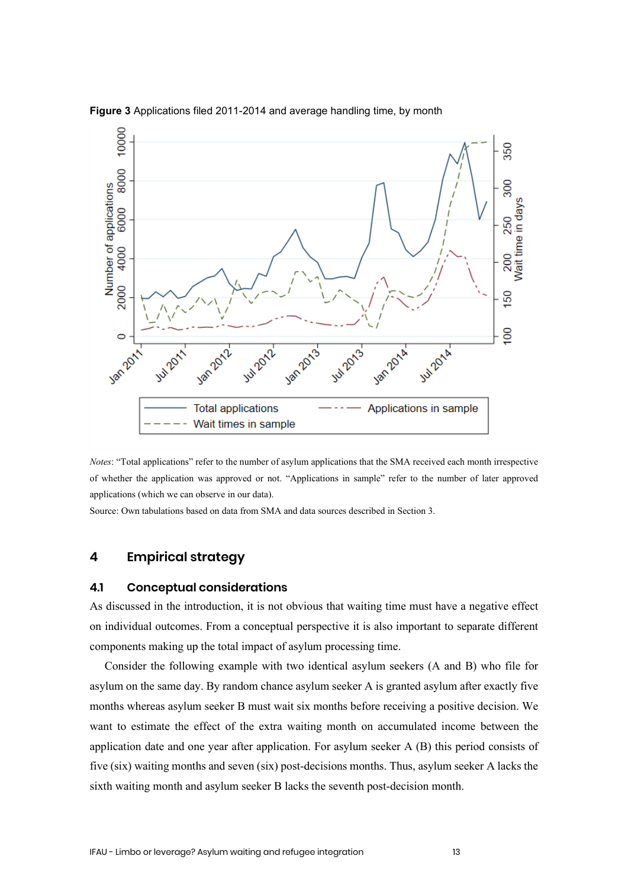

<span id="page-12-2"></span>**Figure 3** Applications filed 2011-2014 and average handling time, by month

*Notes*: "Total applications" refer to the number of asylum applications that the SMA received each month irrespective of whether the application was approved or not. "Applications in sample" refer to the number of later approved applications (which we can observe in our data).

<span id="page-12-0"></span>Source: Own tabulations based on data from SMA and data sources described in Section 3.

## **4 Empirical strategy**

#### <span id="page-12-1"></span>**4.1 Conceptual considerations**

As discussed in the introduction, it is not obvious that waiting time must have a negative effect on individual outcomes. From a conceptual perspective it is also important to separate different components making up the total impact of asylum processing time.

Consider the following example with two identical asylum seekers (A and B) who file for asylum on the same day. By random chance asylum seeker A is granted asylum after exactly five months whereas asylum seeker B must wait six months before receiving a positive decision. We want to estimate the effect of the extra waiting month on accumulated income between the application date and one year after application. For asylum seeker A (B) this period consists of five (six) waiting months and seven (six) post-decisions months. Thus, asylum seeker A lacks the sixth waiting month and asylum seeker B lacks the seventh post-decision month.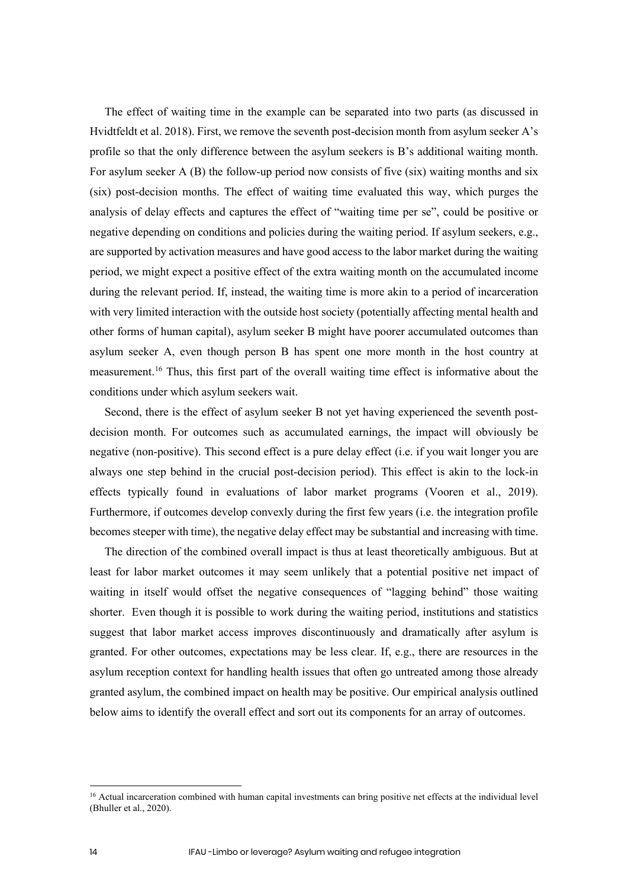The effect of waiting time in the example can be separated into two parts (as discussed in Hvidtfeldt et al. 2018). First, we remove the seventh post-decision month from asylum seeker A's profile so that the only difference between the asylum seekers is B's additional waiting month. For asylum seeker A (B) the follow-up period now consists of five (six) waiting months and six (six) post-decision months. The effect of waiting time evaluated this way, which purges the analysis of delay effects and captures the effect of "waiting time per se", could be positive or negative depending on conditions and policies during the waiting period. If asylum seekers, e.g., are supported by activation measures and have good access to the labor market during the waiting period, we might expect a positive effect of the extra waiting month on the accumulated income during the relevant period. If, instead, the waiting time is more akin to a period of incarceration with very limited interaction with the outside host society (potentially affecting mental health and other forms of human capital), asylum seeker B might have poorer accumulated outcomes than asylum seeker A, even though person B has spent one more month in the host country at measurement.[16](#page-13-0) Thus, this first part of the overall waiting time effect is informative about the conditions under which asylum seekers wait.

Second, there is the effect of asylum seeker B not yet having experienced the seventh postdecision month. For outcomes such as accumulated earnings, the impact will obviously be negative (non-positive). This second effect is a pure delay effect (i.e. if you wait longer you are always one step behind in the crucial post-decision period). This effect is akin to the lock-in effects typically found in evaluations of labor market programs (Vooren et al., 2019). Furthermore, if outcomes develop convexly during the first few years (i.e. the integration profile becomes steeper with time), the negative delay effect may be substantial and increasing with time.

The direction of the combined overall impact is thus at least theoretically ambiguous. But at least for labor market outcomes it may seem unlikely that a potential positive net impact of waiting in itself would offset the negative consequences of "lagging behind" those waiting shorter. Even though it is possible to work during the waiting period, institutions and statistics suggest that labor market access improves discontinuously and dramatically after asylum is granted. For other outcomes, expectations may be less clear. If, e.g., there are resources in the asylum reception context for handling health issues that often go untreated among those already granted asylum, the combined impact on health may be positive. Our empirical analysis outlined below aims to identify the overall effect and sort out its components for an array of outcomes.

<span id="page-13-0"></span><sup>&</sup>lt;sup>16</sup> Actual incarceration combined with human capital investments can bring positive net effects at the individual level (Bhuller et al., 2020).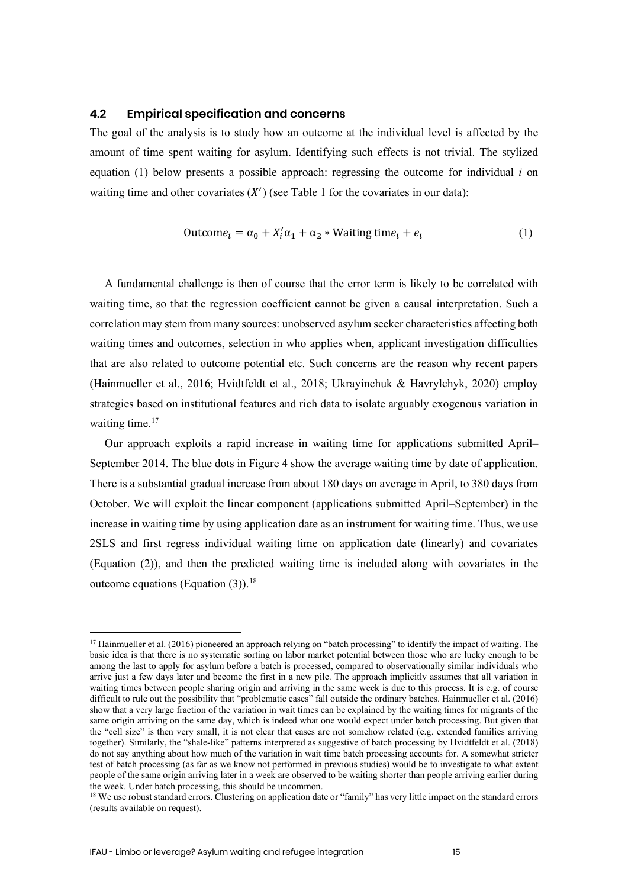## <span id="page-14-0"></span>**4.2 Empirical specification and concerns**

The goal of the analysis is to study how an outcome at the individual level is affected by the amount of time spent waiting for asylum. Identifying such effects is not trivial. The stylized equation [\(1\)](#page-14-1) below presents a possible approach: regressing the outcome for individual *i* on waiting time and other covariates  $(X')$  (see [Table 1](#page-11-0) for the covariates in our data):

<span id="page-14-1"></span>
$$
Outcome_i = \alpha_0 + X'_i \alpha_1 + \alpha_2 * \text{Waiting time}_i + e_i \tag{1}
$$

A fundamental challenge is then of course that the error term is likely to be correlated with waiting time, so that the regression coefficient cannot be given a causal interpretation. Such a correlation may stem from many sources: unobserved asylum seeker characteristics affecting both waiting times and outcomes, selection in who applies when, applicant investigation difficulties that are also related to outcome potential etc. Such concerns are the reason why recent papers (Hainmueller et al., 2016; Hvidtfeldt et al., 2018; Ukrayinchuk & Havrylchyk, 2020) employ strategies based on institutional features and rich data to isolate arguably exogenous variation in waiting time.<sup>[17](#page-14-2)</sup>

Our approach exploits a rapid increase in waiting time for applications submitted April– September 2014. The blue dots in Figure 4 show the average waiting time by date of application. There is a substantial gradual increase from about 180 days on average in April, to 380 days from October. We will exploit the linear component (applications submitted April–September) in the increase in waiting time by using application date as an instrument for waiting time. Thus, we use 2SLS and first regress individual waiting time on application date (linearly) and covariates (Equation [\(2\)\)](#page-15-0), and then the predicted waiting time is included along with covariates in the outcome equations (Equation  $(3)$ ).<sup>[18](#page-14-3)</sup>

<span id="page-14-2"></span><sup>&</sup>lt;sup>17</sup> Hainmueller et al. (2016) pioneered an approach relying on "batch processing" to identify the impact of waiting. The basic idea is that there is no systematic sorting on labor market potential between those who are lucky enough to be among the last to apply for asylum before a batch is processed, compared to observationally similar individuals who arrive just a few days later and become the first in a new pile. The approach implicitly assumes that all variation in waiting times between people sharing origin and arriving in the same week is due to this process. It is e.g. of course difficult to rule out the possibility that "problematic cases" fall outside the ordinary batches. Hainmueller et al. (2016) show that a very large fraction of the variation in wait times can be explained by the waiting times for migrants of the same origin arriving on the same day, which is indeed what one would expect under batch processing. But given that the "cell size" is then very small, it is not clear that cases are not somehow related (e.g. extended families arriving together). Similarly, the "shale-like" patterns interpreted as suggestive of batch processing by Hvidtfeldt et al. (2018) do not say anything about how much of the variation in wait time batch processing accounts for. A somewhat stricter test of batch processing (as far as we know not performed in previous studies) would be to investigate to what extent people of the same origin arriving later in a week are observed to be waiting shorter than people arriving earlier during the week. Under batch processing, this should be uncommon.

<span id="page-14-3"></span><sup>&</sup>lt;sup>18</sup> We use robust standard errors. Clustering on application date or "family" has very little impact on the standard errors (results available on request).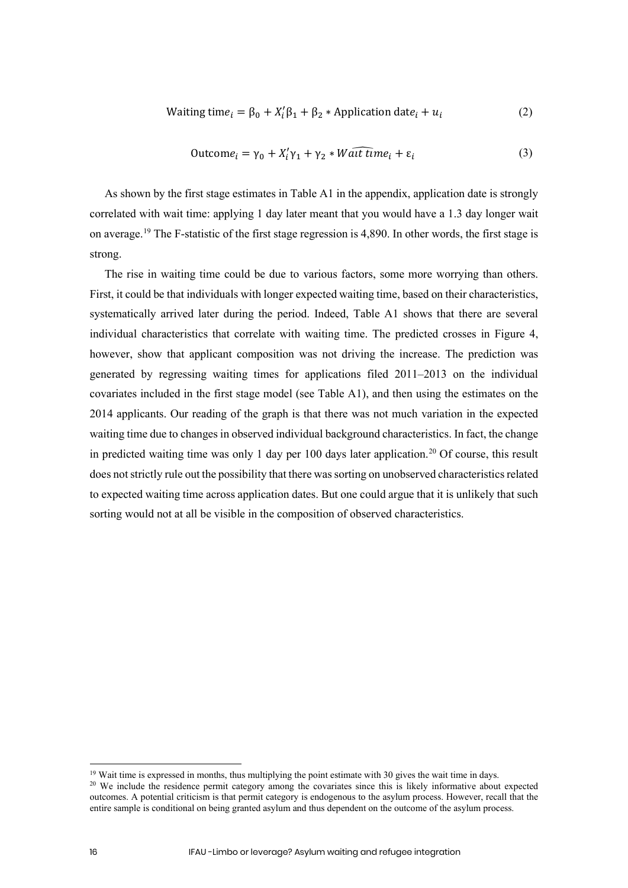Waiting time<sub>i</sub> = 
$$
\beta_0 + X'_i \beta_1 + \beta_2 \cdot \text{Application date}_i + u_i
$$
 (2)

<span id="page-15-1"></span><span id="page-15-0"></span>
$$
Outcome_i = \gamma_0 + X'_i \gamma_1 + \gamma_2 * Wait \, time_i + \varepsilon_i \tag{3}
$$

As shown by the first stage estimates in [Table A1](#page-36-1) in the appendix, application date is strongly correlated with wait time: applying 1 day later meant that you would have a 1.3 day longer wait on average.<sup>[19](#page-15-2)</sup> The F-statistic of the first stage regression is 4,890. In other words, the first stage is strong.

The rise in waiting time could be due to various factors, some more worrying than others. First, it could be that individuals with longer expected waiting time, based on their characteristics, systematically arrived later during the period. Indeed, [Table A1](#page-36-1) shows that there are several individual characteristics that correlate with waiting time. The predicted crosses in Figure 4, however, show that applicant composition was not driving the increase. The prediction was generated by regressing waiting times for applications filed 2011–2013 on the individual covariates included in the first stage model (see [Table A1\)](#page-36-1), and then using the estimates on the 2014 applicants. Our reading of the graph is that there was not much variation in the expected waiting time due to changes in observed individual background characteristics. In fact, the change in predicted waiting time was only 1 day per  $100$  days later application.<sup>[20](#page-15-3)</sup> Of course, this result does not strictly rule out the possibility that there was sorting on unobserved characteristics related to expected waiting time across application dates. But one could argue that it is unlikely that such sorting would not at all be visible in the composition of observed characteristics.

<sup>&</sup>lt;sup>19</sup> Wait time is expressed in months, thus multiplying the point estimate with 30 gives the wait time in days.

<span id="page-15-3"></span><span id="page-15-2"></span><sup>&</sup>lt;sup>20</sup> We include the residence permit category among the covariates since this is likely informative about expected outcomes. A potential criticism is that permit category is endogenous to the asylum process. However, recall that the entire sample is conditional on being granted asylum and thus dependent on the outcome of the asylum process.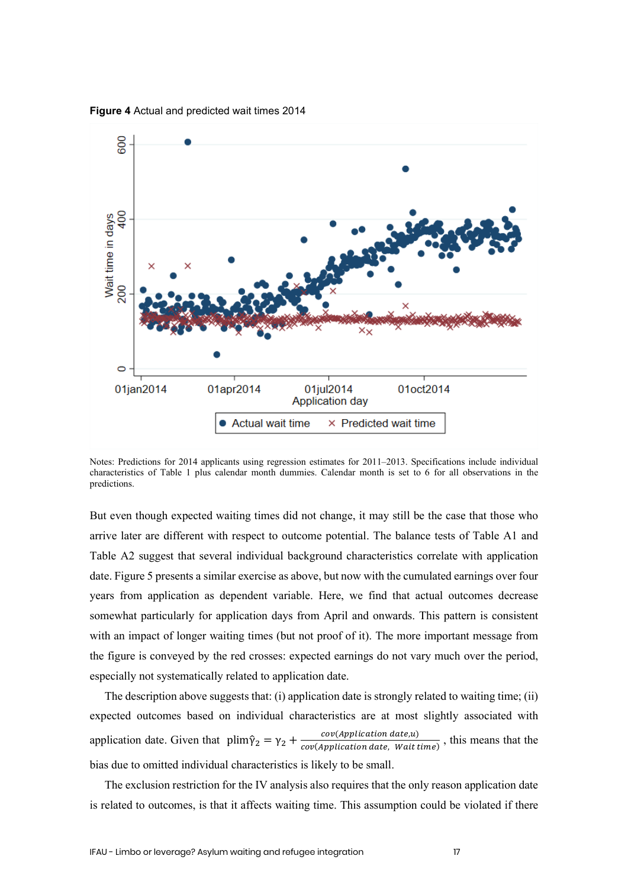**Figure 4** Actual and predicted wait times 2014



Notes: Predictions for 2014 applicants using regression estimates for 2011–2013. Specifications include individual characteristics of [Table 1](#page-11-0) plus calendar month dummies. Calendar month is set to 6 for all observations in the predictions.

But even though expected waiting times did not change, it may still be the case that those who arrive later are different with respect to outcome potential. The balance tests of [Table A1](#page-36-1) and [Table A2](#page-37-0) suggest that several individual background characteristics correlate with application date[. Figure 5](#page-17-0) presents a similar exercise as above, but now with the cumulated earnings over four years from application as dependent variable. Here, we find that actual outcomes decrease somewhat particularly for application days from April and onwards. This pattern is consistent with an impact of longer waiting times (but not proof of it). The more important message from the figure is conveyed by the red crosses: expected earnings do not vary much over the period, especially not systematically related to application date.

The description above suggests that: (i) application date is strongly related to waiting time; (ii) expected outcomes based on individual characteristics are at most slightly associated with application date. Given that  $plim\hat{\gamma}_2 = \gamma_2 + \frac{cov(Application date, w) }{cov(Application date, Wait time)}$ , this means that the bias due to omitted individual characteristics is likely to be small.

The exclusion restriction for the IV analysis also requires that the only reason application date is related to outcomes, is that it affects waiting time. This assumption could be violated if there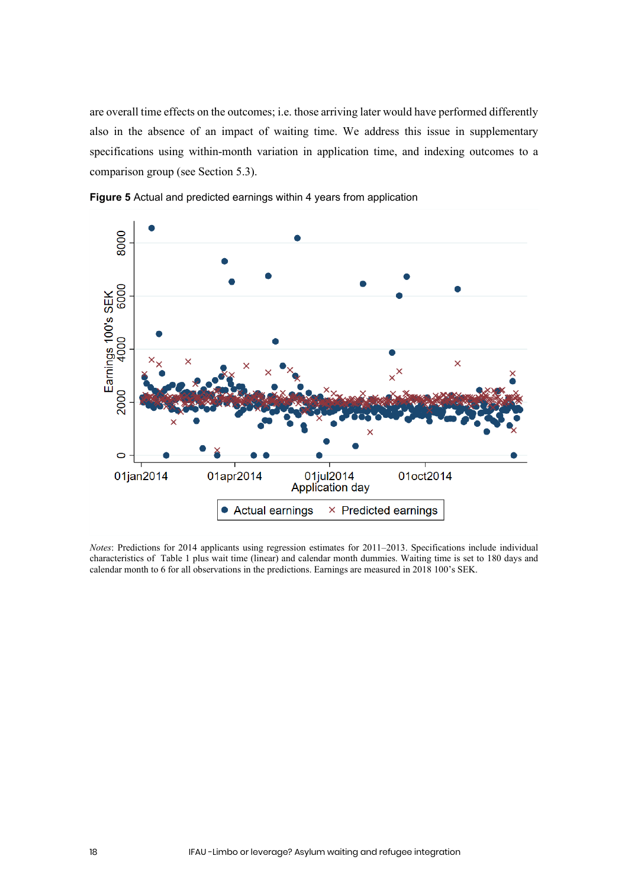are overall time effects on the outcomes; i.e. those arriving later would have performed differently also in the absence of an impact of waiting time. We address this issue in supplementary specifications using within-month variation in application time, and indexing outcomes to a comparison group (see Sectio[n 5.3\)](#page-26-0).



<span id="page-17-0"></span>**Figure 5** Actual and predicted earnings within 4 years from application

*Notes*: Predictions for 2014 applicants using regression estimates for 2011–2013. Specifications include individual characteristics of [Table 1](#page-11-0) plus wait time (linear) and calendar month dummies. Waiting time is set to 180 days and calendar month to 6 for all observations in the predictions. Earnings are measured in 2018 100's SEK.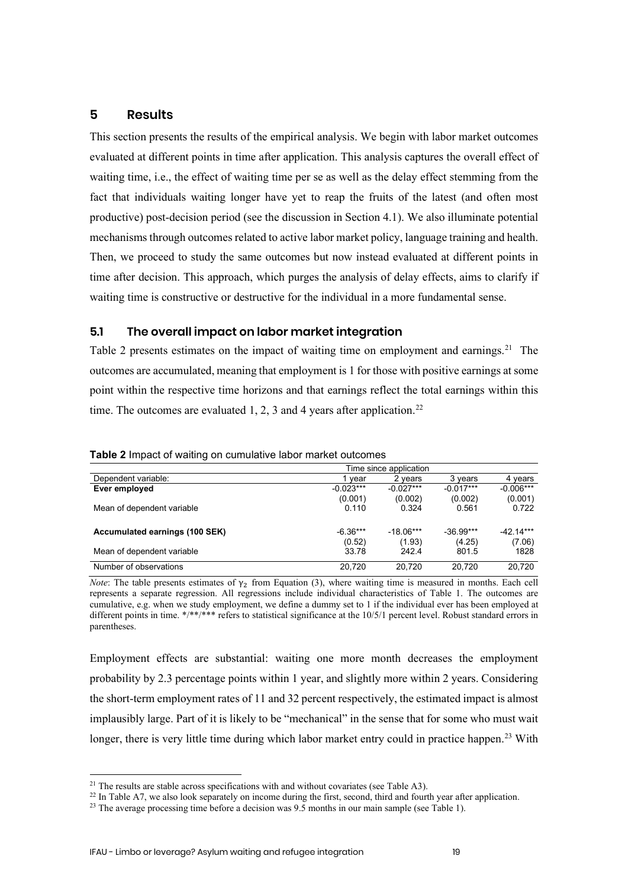### <span id="page-18-0"></span>**5 Results**

This section presents the results of the empirical analysis. We begin with labor market outcomes evaluated at different points in time after application. This analysis captures the overall effect of waiting time, i.e., the effect of waiting time per se as well as the delay effect stemming from the fact that individuals waiting longer have yet to reap the fruits of the latest (and often most productive) post-decision period (see the discussion in Section [4.1\)](#page-12-1). We also illuminate potential mechanisms through outcomes related to active labor market policy, language training and health. Then, we proceed to study the same outcomes but now instead evaluated at different points in time after decision. This approach, which purges the analysis of delay effects, aims to clarify if waiting time is constructive or destructive for the individual in a more fundamental sense.

## <span id="page-18-1"></span>**5.1 The overall impact on labor market integration**

[Table 2](#page-18-2) presents estimates on the impact of waiting time on employment and earnings.<sup>[21](#page-18-3)</sup> The outcomes are accumulated, meaning that employment is 1 for those with positive earnings at some point within the respective time horizons and that earnings reflect the total earnings within this time. The outcomes are evaluated 1, 2, 3 and 4 years after application.<sup>[22](#page-18-4)</sup>

|                                |             | Time since application |             |             |
|--------------------------------|-------------|------------------------|-------------|-------------|
| Dependent variable:            | vear        | 2 years                | 3 years     | 4 years     |
| Ever employed                  | $-0.023***$ | $-0.027***$            | $-0.017***$ | $-0.006***$ |
|                                | (0.001)     | (0.002)                | (0.002)     | (0.001)     |
| Mean of dependent variable     | 0.110       | 0.324                  | 0.561       | 0.722       |
|                                |             |                        |             |             |
| Accumulated earnings (100 SEK) | $-6.36***$  | $-18.06***$            | $-36.99***$ | $-42.14***$ |
|                                | (0.52)      | (1.93)                 | (4.25)      | (7.06)      |
| Mean of dependent variable     | 33.78       | 242.4                  | 801.5       | 1828        |
| Number of observations         | 20.720      | 20.720                 | 20.720      | 20.720      |

<span id="page-18-2"></span>**Table 2** Impact of waiting on cumulative labor market outcomes

*Note*: The table presents estimates of  $\gamma_2$  from Equation [\(3\),](#page-15-1) where waiting time is measured in months. Each cell represents a separate regression. All regressions include individual characteristics of [Table 1.](#page-11-0) The outcomes are cumulative, e.g. when we study employment, we define a dummy set to 1 if the individual ever has been employed at different points in time. \*/\*\*/\*\*\* refers to statistical significance at the 10/5/1 percent level. Robust standard errors in parentheses.

Employment effects are substantial: waiting one more month decreases the employment probability by 2.3 percentage points within 1 year, and slightly more within 2 years. Considering the short-term employment rates of 11 and 32 percent respectively, the estimated impact is almost implausibly large. Part of it is likely to be "mechanical" in the sense that for some who must wait longer, there is very little time during which labor market entry could in practice happen.<sup>[23](#page-18-5)</sup> With

<span id="page-18-3"></span> $21$  The results are stable across specifications with and without covariates (see [Table A3\)](#page-38-0).

<span id="page-18-5"></span><span id="page-18-4"></span><sup>&</sup>lt;sup>22</sup> In [Table A7,](#page-41-0) we also look separately on income during the first, second, third and fourth year after application.

 $23$  The average processing time before a decision was 9.5 months in our main sample (see [Table 1\)](#page-11-0).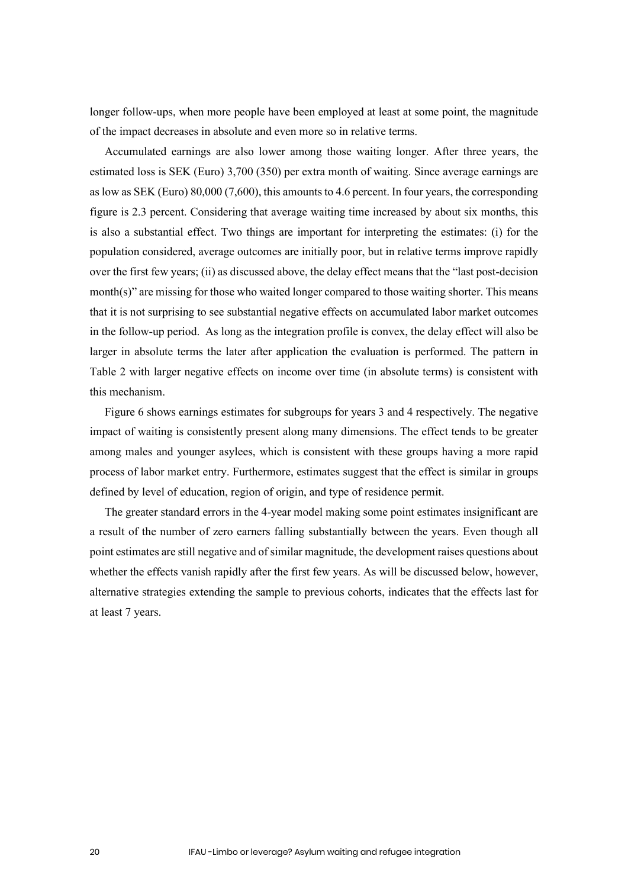longer follow-ups, when more people have been employed at least at some point, the magnitude of the impact decreases in absolute and even more so in relative terms.

Accumulated earnings are also lower among those waiting longer. After three years, the estimated loss is SEK (Euro) 3,700 (350) per extra month of waiting. Since average earnings are as low as SEK (Euro) 80,000 (7,600), this amounts to 4.6 percent. In four years, the corresponding figure is 2.3 percent. Considering that average waiting time increased by about six months, this is also a substantial effect. Two things are important for interpreting the estimates: (i) for the population considered, average outcomes are initially poor, but in relative terms improve rapidly over the first few years; (ii) as discussed above, the delay effect means that the "last post-decision month(s)" are missing for those who waited longer compared to those waiting shorter. This means that it is not surprising to see substantial negative effects on accumulated labor market outcomes in the follow-up period. As long as the integration profile is convex, the delay effect will also be larger in absolute terms the later after application the evaluation is performed. The pattern in [Table 2](#page-18-2) with larger negative effects on income over time (in absolute terms) is consistent with this mechanism.

[Figure 6](#page-20-0) shows earnings estimates for subgroups for years 3 and 4 respectively. The negative impact of waiting is consistently present along many dimensions. The effect tends to be greater among males and younger asylees, which is consistent with these groups having a more rapid process of labor market entry. Furthermore, estimates suggest that the effect is similar in groups defined by level of education, region of origin, and type of residence permit.

The greater standard errors in the 4-year model making some point estimates insignificant are a result of the number of zero earners falling substantially between the years. Even though all point estimates are still negative and of similar magnitude, the development raises questions about whether the effects vanish rapidly after the first few years. As will be discussed below, however, alternative strategies extending the sample to previous cohorts, indicates that the effects last for at least 7 years.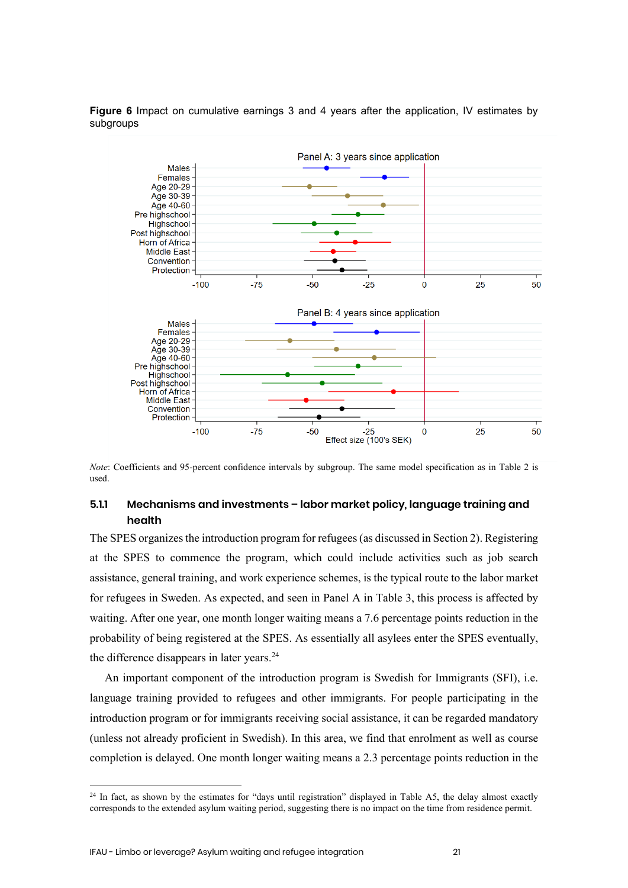

<span id="page-20-0"></span>**Figure 6** Impact on cumulative earnings 3 and 4 years after the application, IV estimates by subgroups

*Note*: Coefficients and 95-percent confidence intervals by subgroup. The same model specification as in [Table 2](#page-18-2) is used.

## **5.1.1 Mechanisms and investments – labor market policy, language training and health**

The SPES organizesthe introduction program for refugees(as discussed in Section 2). Registering at the SPES to commence the program, which could include activities such as job search assistance, general training, and work experience schemes, is the typical route to the labor market for refugees in Sweden. As expected, and seen in Panel A in [Table 3,](#page-22-0) this process is affected by waiting. After one year, one month longer waiting means a 7.6 percentage points reduction in the probability of being registered at the SPES. As essentially all asylees enter the SPES eventually, the difference disappears in later years.<sup>[24](#page-20-1)</sup>

An important component of the introduction program is Swedish for Immigrants (SFI), i.e. language training provided to refugees and other immigrants. For people participating in the introduction program or for immigrants receiving social assistance, it can be regarded mandatory (unless not already proficient in Swedish). In this area, we find that enrolment as well as course completion is delayed. One month longer waiting means a 2.3 percentage points reduction in the

<span id="page-20-1"></span><sup>&</sup>lt;sup>24</sup> In fact, as shown by the estimates for "days until registration" displayed in [Table A5,](#page-39-0) the delay almost exactly corresponds to the extended asylum waiting period, suggesting there is no impact on the time from residence permit.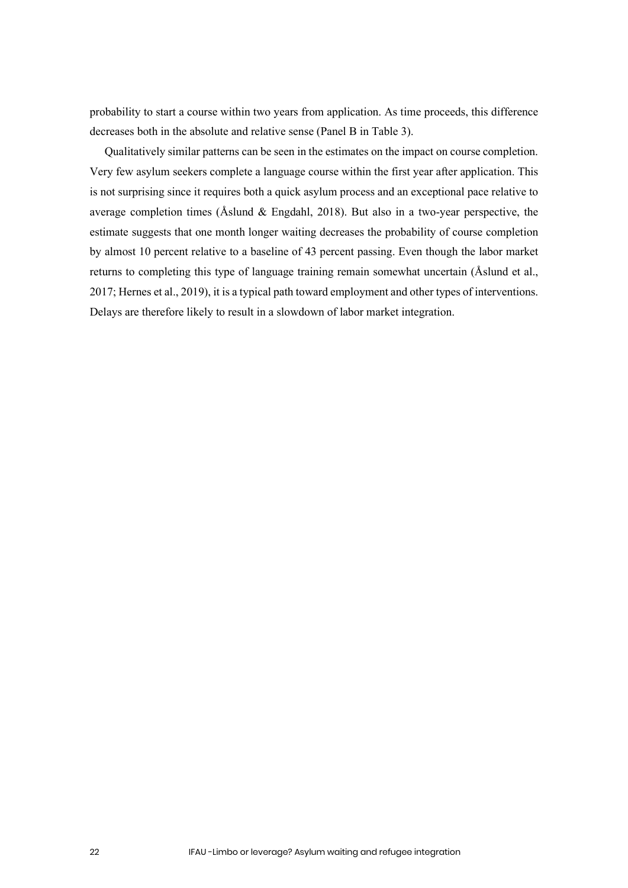probability to start a course within two years from application. As time proceeds, this difference decreases both in the absolute and relative sense (Panel B in [Table 3\)](#page-22-0).

Qualitatively similar patterns can be seen in the estimates on the impact on course completion. Very few asylum seekers complete a language course within the first year after application. This is not surprising since it requires both a quick asylum process and an exceptional pace relative to average completion times (Åslund & Engdahl, 2018). But also in a two-year perspective, the estimate suggests that one month longer waiting decreases the probability of course completion by almost 10 percent relative to a baseline of 43 percent passing. Even though the labor market returns to completing this type of language training remain somewhat uncertain (Åslund et al., 2017; Hernes et al., 2019), it is a typical path toward employment and other types of interventions. Delays are therefore likely to result in a slowdown of labor market integration.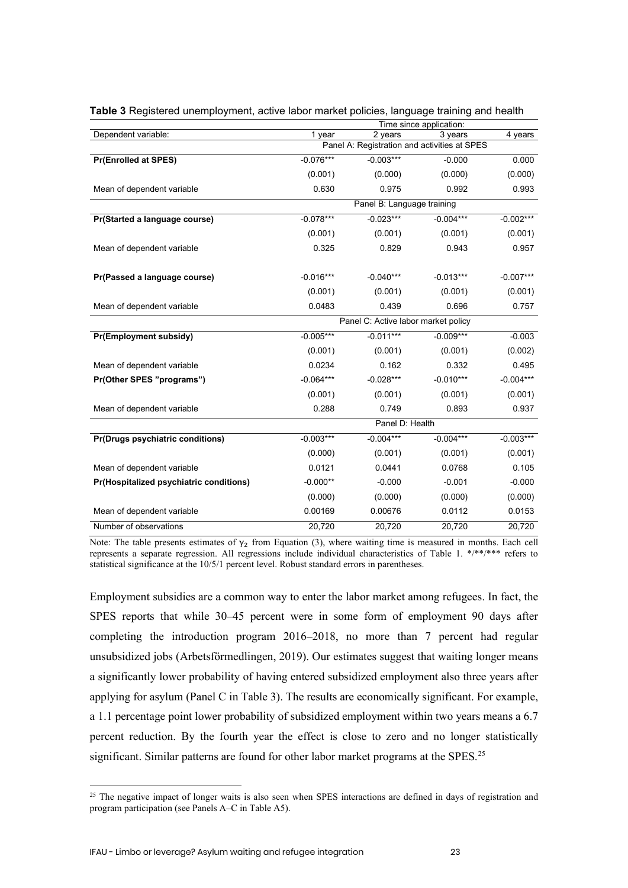|                                         | Time since application:             |                 |                                              |             |  |  |
|-----------------------------------------|-------------------------------------|-----------------|----------------------------------------------|-------------|--|--|
| Dependent variable:                     | 1 year                              | 2 years         | 3 years                                      | 4 years     |  |  |
|                                         |                                     |                 | Panel A: Registration and activities at SPES |             |  |  |
| <b>Pr(Enrolled at SPES)</b>             | $-0.076***$                         | $-0.003***$     | $-0.000$                                     | 0.000       |  |  |
|                                         | (0.001)                             | (0.000)         | (0.000)                                      | (0.000)     |  |  |
| Mean of dependent variable              | 0.630                               | 0.975           | 0.992                                        | 0.993       |  |  |
|                                         | Panel B: Language training          |                 |                                              |             |  |  |
| Pr(Started a language course)           | $-0.078***$                         | $-0.023***$     | $-0.004***$                                  | $-0.002***$ |  |  |
|                                         | (0.001)                             | (0.001)         | (0.001)                                      | (0.001)     |  |  |
| Mean of dependent variable              | 0.325                               | 0.829           | 0.943                                        | 0.957       |  |  |
|                                         |                                     |                 |                                              |             |  |  |
| Pr(Passed a language course)            | $-0.016***$                         | $-0.040***$     | $-0.013***$                                  | $-0.007***$ |  |  |
|                                         | (0.001)                             | (0.001)         | (0.001)                                      | (0.001)     |  |  |
| Mean of dependent variable              | 0.0483                              | 0.439           | 0.696                                        | 0.757       |  |  |
|                                         | Panel C: Active labor market policy |                 |                                              |             |  |  |
| <b>Pr(Employment subsidy)</b>           | $-0.005***$                         | $-0.011***$     | $-0.009***$                                  | $-0.003$    |  |  |
|                                         | (0.001)                             | (0.001)         | (0.001)                                      | (0.002)     |  |  |
| Mean of dependent variable              | 0.0234                              | 0.162           | 0.332                                        | 0.495       |  |  |
| Pr(Other SPES "programs")               | $-0.064***$                         | $-0.028***$     | $-0.010***$                                  | $-0.004***$ |  |  |
|                                         | (0.001)                             | (0.001)         | (0.001)                                      | (0.001)     |  |  |
| Mean of dependent variable              | 0.288                               | 0.749           | 0.893                                        | 0.937       |  |  |
|                                         |                                     | Panel D: Health |                                              |             |  |  |
| Pr(Drugs psychiatric conditions)        | $-0.003***$                         | $-0.004***$     | $-0.004***$                                  | $-0.003***$ |  |  |
|                                         | (0.000)                             | (0.001)         | (0.001)                                      | (0.001)     |  |  |
| Mean of dependent variable              | 0.0121                              | 0.0441          | 0.0768                                       | 0.105       |  |  |
| Pr(Hospitalized psychiatric conditions) | $-0.000**$                          | $-0.000$        | $-0.001$                                     | $-0.000$    |  |  |
|                                         | (0.000)                             | (0.000)         | (0.000)                                      | (0.000)     |  |  |
| Mean of dependent variable              | 0.00169                             | 0.00676         | 0.0112                                       | 0.0153      |  |  |
| Number of observations                  | 20,720                              | 20,720          | 20,720                                       | 20,720      |  |  |

<span id="page-22-0"></span>**Table 3** Registered unemployment, active labor market policies, language training and health

Note: The table presents estimates of  $\gamma_2$  from Equation [\(3\),](#page-15-1) where waiting time is measured in months. Each cell represents a separate regression. All regressions include individual characteristics of [Table 1.](#page-11-0) \*/\*\*/\*\*\* refers to statistical significance at the 10/5/1 percent level. Robust standard errors in parentheses.

Employment subsidies are a common way to enter the labor market among refugees. In fact, the SPES reports that while 30–45 percent were in some form of employment 90 days after completing the introduction program 2016–2018, no more than 7 percent had regular unsubsidized jobs (Arbetsförmedlingen, 2019). Our estimates suggest that waiting longer means a significantly lower probability of having entered subsidized employment also three years after applying for asylum (Panel C in [Table 3\)](#page-22-0). The results are economically significant. For example, a 1.1 percentage point lower probability of subsidized employment within two years means a 6.7 percent reduction. By the fourth year the effect is close to zero and no longer statistically significant. Similar patterns are found for other labor market programs at the SPES.<sup>[25](#page-22-1)</sup>

<span id="page-22-1"></span><sup>&</sup>lt;sup>25</sup> The negative impact of longer waits is also seen when SPES interactions are defined in days of registration and program participation (see Panels A–C in [Table A5\)](#page-39-0).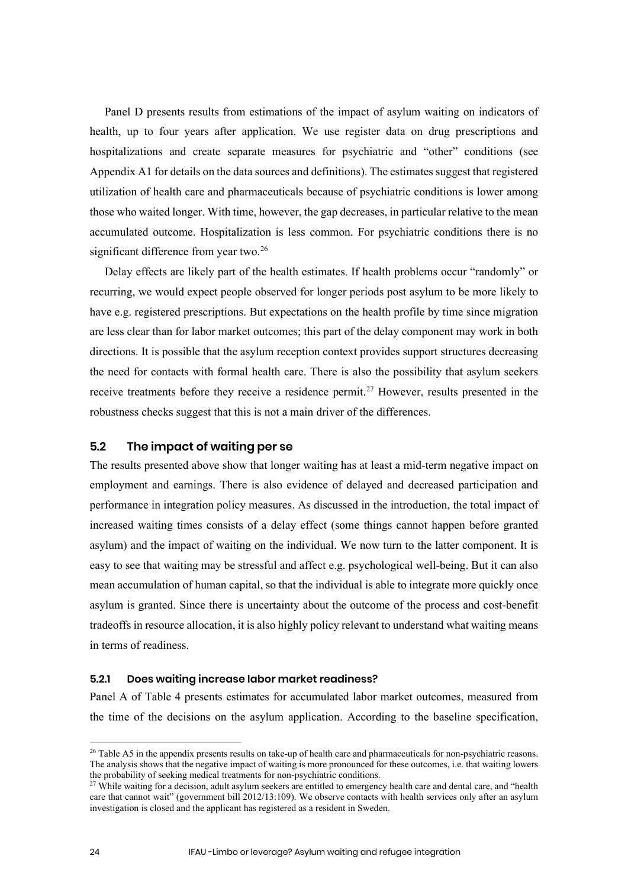Panel D presents results from estimations of the impact of asylum waiting on indicators of health, up to four years after application. We use register data on drug prescriptions and hospitalizations and create separate measures for psychiatric and "other" conditions (see [Appendix A1](#page-34-0) for details on the data sources and definitions). The estimates suggest that registered utilization of health care and pharmaceuticals because of psychiatric conditions is lower among those who waited longer. With time, however, the gap decreases, in particular relative to the mean accumulated outcome. Hospitalization is less common. For psychiatric conditions there is no significant difference from year two.<sup>[26](#page-23-1)</sup>

Delay effects are likely part of the health estimates. If health problems occur "randomly" or recurring, we would expect people observed for longer periods post asylum to be more likely to have e.g. registered prescriptions. But expectations on the health profile by time since migration are less clear than for labor market outcomes; this part of the delay component may work in both directions. It is possible that the asylum reception context provides support structures decreasing the need for contacts with formal health care. There is also the possibility that asylum seekers receive treatments before they receive a residence permit.<sup>[27](#page-23-2)</sup> However, results presented in the robustness checks suggest that this is not a main driver of the differences.

#### <span id="page-23-0"></span>**5.2 The impact of waiting per se**

The results presented above show that longer waiting has at least a mid-term negative impact on employment and earnings. There is also evidence of delayed and decreased participation and performance in integration policy measures. As discussed in the introduction, the total impact of increased waiting times consists of a delay effect (some things cannot happen before granted asylum) and the impact of waiting on the individual. We now turn to the latter component. It is easy to see that waiting may be stressful and affect e.g. psychological well-being. But it can also mean accumulation of human capital, so that the individual is able to integrate more quickly once asylum is granted. Since there is uncertainty about the outcome of the process and cost-benefit tradeoffs in resource allocation, it is also highly policy relevant to understand what waiting means in terms of readiness.

#### **5.2.1 Does waiting increase labor market readiness?**

Panel A of [Table 4](#page-25-0) presents estimates for accumulated labor market outcomes, measured from the time of the decisions on the asylum application. According to the baseline specification,

<span id="page-23-1"></span><sup>&</sup>lt;sup>26</sup> [Table A5](#page-39-0) in the appendix presents results on take-up of health care and pharmaceuticals for non-psychiatric reasons. The analysis shows that the negative impact of waiting is more pronounced for these outcomes, i.e. that waiting lowers the probability of seeking medical treatments for non-psychiatric conditions.

<span id="page-23-2"></span><sup>&</sup>lt;sup>27</sup> While waiting for a decision, adult asylum seekers are entitled to emergency health care and dental care, and "health care that cannot wait" (government bill 2012/13:109). We observe contacts with health services only after an asylum investigation is closed and the applicant has registered as a resident in Sweden.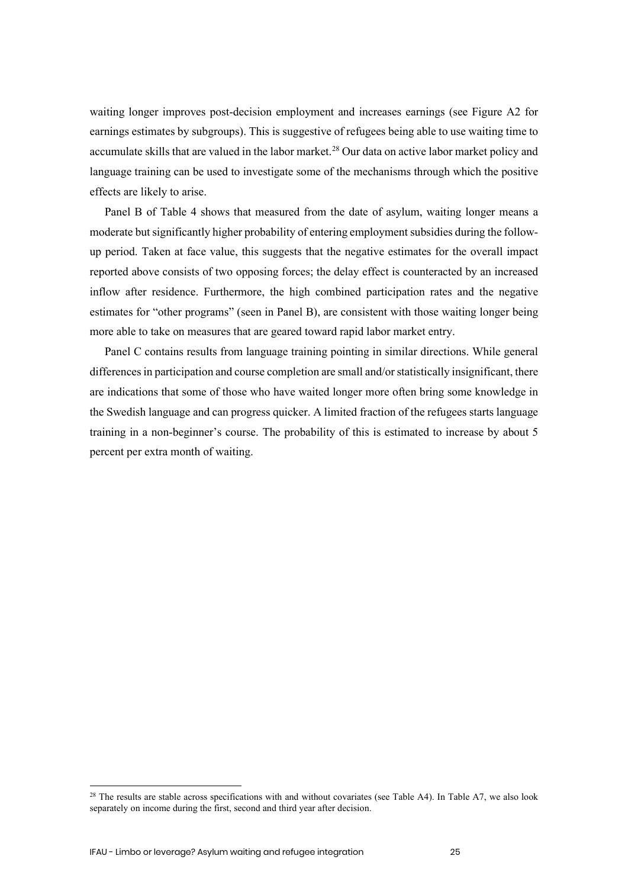waiting longer improves post-decision employment and increases earnings (see [Figure A2](#page-44-0) for earnings estimates by subgroups). This is suggestive of refugees being able to use waiting time to accumulate skills that are valued in the labor market.<sup>[28](#page-24-0)</sup> Our data on active labor market policy and language training can be used to investigate some of the mechanisms through which the positive effects are likely to arise.

Panel B of [Table 4](#page-25-0) shows that measured from the date of asylum, waiting longer means a moderate but significantly higher probability of entering employment subsidies during the followup period. Taken at face value, this suggests that the negative estimates for the overall impact reported above consists of two opposing forces; the delay effect is counteracted by an increased inflow after residence. Furthermore, the high combined participation rates and the negative estimates for "other programs" (seen in Panel B), are consistent with those waiting longer being more able to take on measures that are geared toward rapid labor market entry.

Panel C contains results from language training pointing in similar directions. While general differences in participation and course completion are small and/or statistically insignificant, there are indications that some of those who have waited longer more often bring some knowledge in the Swedish language and can progress quicker. A limited fraction of the refugees starts language training in a non-beginner's course. The probability of this is estimated to increase by about 5 percent per extra month of waiting.

<span id="page-24-0"></span> $28$  The results are stable across specifications with and without covariates (see [Table A4\)](#page-38-1). I[n Table A7,](#page-41-0) we also look separately on income during the first, second and third year after decision.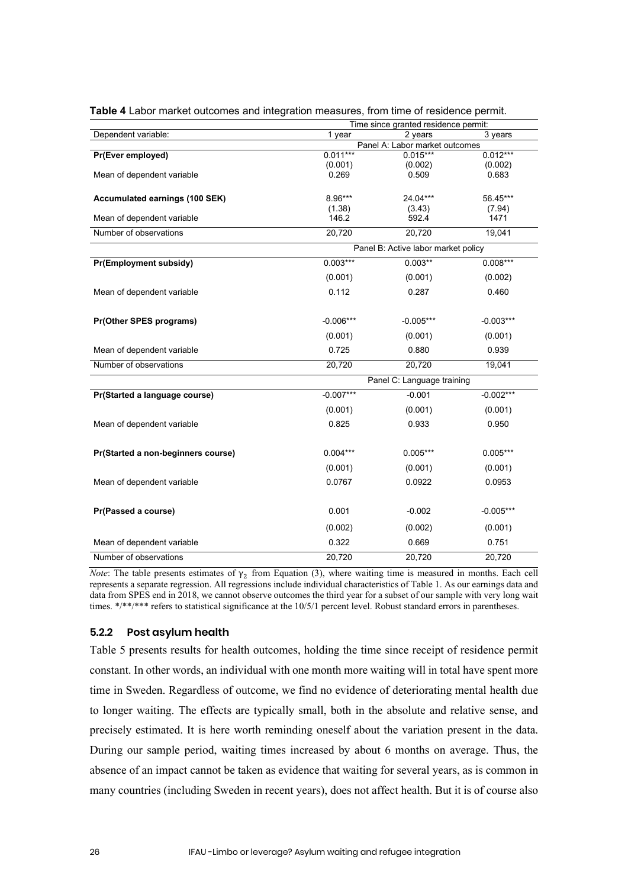|                                    | Time since granted residence permit: |                                     |                  |  |
|------------------------------------|--------------------------------------|-------------------------------------|------------------|--|
| Dependent variable:                | 1 year                               | 2 years                             | 3 years          |  |
|                                    |                                      | Panel A: Labor market outcomes      |                  |  |
| Pr(Ever employed)                  | $0.011***$                           | $0.015***$                          | $0.012***$       |  |
| Mean of dependent variable         | (0.001)<br>0.269                     | (0.002)<br>0.509                    | (0.002)<br>0.683 |  |
|                                    |                                      |                                     |                  |  |
|                                    |                                      |                                     |                  |  |
| Accumulated earnings (100 SEK)     | 8.96***                              | 24.04***                            | 56.45***         |  |
| Mean of dependent variable         | (1.38)<br>146.2                      | (3.43)<br>592.4                     | (7.94)<br>1471   |  |
|                                    |                                      |                                     |                  |  |
| Number of observations             | 20,720                               | 20,720                              | 19,041           |  |
|                                    |                                      | Panel B: Active labor market policy |                  |  |
| <b>Pr(Employment subsidy)</b>      | $0.003***$                           | $0.003**$                           | $0.008***$       |  |
|                                    | (0.001)                              | (0.001)                             | (0.002)          |  |
| Mean of dependent variable         | 0.112                                | 0.287                               | 0.460            |  |
|                                    |                                      |                                     |                  |  |
| Pr(Other SPES programs)            | $-0.006***$                          | $-0.005***$                         | $-0.003***$      |  |
|                                    | (0.001)                              | (0.001)                             | (0.001)          |  |
|                                    |                                      |                                     |                  |  |
| Mean of dependent variable         | 0.725                                | 0.880                               | 0.939            |  |
| Number of observations             | 20,720                               | 20,720                              | 19,041           |  |
|                                    |                                      | Panel C: Language training          |                  |  |
| Pr(Started a language course)      | $-0.007***$                          | $-0.001$                            | $-0.002***$      |  |
|                                    | (0.001)                              | (0.001)                             | (0.001)          |  |
| Mean of dependent variable         | 0.825                                | 0.933                               | 0.950            |  |
|                                    |                                      |                                     |                  |  |
| Pr(Started a non-beginners course) | $0.004***$                           | $0.005***$                          | $0.005***$       |  |
|                                    | (0.001)                              | (0.001)                             | (0.001)          |  |
| Mean of dependent variable         | 0.0767                               | 0.0922                              | 0.0953           |  |
|                                    |                                      |                                     |                  |  |
|                                    |                                      |                                     |                  |  |
| Pr(Passed a course)                | 0.001                                | $-0.002$                            | $-0.005***$      |  |
|                                    | (0.002)                              | (0.002)                             | (0.001)          |  |
| Mean of dependent variable         | 0.322                                | 0.669                               | 0.751            |  |
| Number of observations             | 20,720                               | 20,720                              | 20,720           |  |

<span id="page-25-0"></span>**Table 4** Labor market outcomes and integration measures, from time of residence permit.

*Note*: The table presents estimates of  $\gamma_2$  from Equation [\(3\),](#page-15-1) where waiting time is measured in months. Each cell represents a separate regression. All regressions include individual characteristics of [Table 1.](#page-11-0) As our earnings data and data from SPES end in 2018, we cannot observe outcomes the third year for a subset of our sample with very long wait times. \*/\*\*/\*\*\* refers to statistical significance at the 10/5/1 percent level. Robust standard errors in parentheses.

#### **5.2.2 Post asylum health**

[Table 5](#page-26-1) presents results for health outcomes, holding the time since receipt of residence permit constant. In other words, an individual with one month more waiting will in total have spent more time in Sweden. Regardless of outcome, we find no evidence of deteriorating mental health due to longer waiting. The effects are typically small, both in the absolute and relative sense, and precisely estimated. It is here worth reminding oneself about the variation present in the data. During our sample period, waiting times increased by about 6 months on average. Thus, the absence of an impact cannot be taken as evidence that waiting for several years, as is common in many countries (including Sweden in recent years), does not affect health. But it is of course also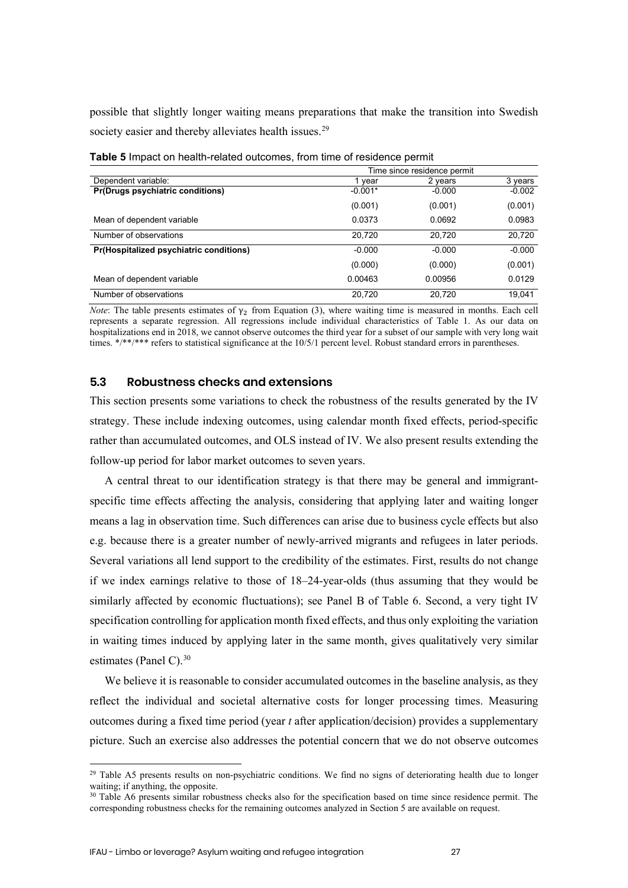possible that slightly longer waiting means preparations that make the transition into Swedish society easier and thereby alleviates health issues.<sup>[29](#page-26-2)</sup>

|                                         |           | Time since residence permit |          |  |  |
|-----------------------------------------|-----------|-----------------------------|----------|--|--|
| Dependent variable:                     | vear      | 2 years                     | 3 years  |  |  |
| <b>Pr(Drugs psychiatric conditions)</b> | $-0.001*$ | $-0.000$                    | $-0.002$ |  |  |
|                                         | (0.001)   | (0.001)                     | (0.001)  |  |  |
| Mean of dependent variable              | 0.0373    | 0.0692                      | 0.0983   |  |  |
| Number of observations                  | 20,720    | 20.720                      | 20,720   |  |  |
| Pr(Hospitalized psychiatric conditions) | $-0.000$  | $-0.000$                    | $-0.000$ |  |  |
|                                         | (0.000)   | (0.000)                     | (0.001)  |  |  |
| Mean of dependent variable              | 0.00463   | 0.00956                     | 0.0129   |  |  |
| Number of observations                  | 20.720    | 20.720                      | 19.041   |  |  |

<span id="page-26-1"></span>**Table 5** Impact on health-related outcomes, from time of residence permit

*Note*: The table presents estimates of  $\gamma_2$  from Equation [\(3\),](#page-15-1) where waiting time is measured in months. Each cell represents a separate regression. All regressions include individual characteristics of [Table 1.](#page-11-0) As our data on hospitalizations end in 2018, we cannot observe outcomes the third year for a subset of our sample with very long wait times. \*/\*\*/\*\*\* refers to statistical significance at the 10/5/1 percent level. Robust standard errors in parentheses.

#### <span id="page-26-0"></span>**5.3 Robustness checks and extensions**

This section presents some variations to check the robustness of the results generated by the IV strategy. These include indexing outcomes, using calendar month fixed effects, period-specific rather than accumulated outcomes, and OLS instead of IV. We also present results extending the follow-up period for labor market outcomes to seven years.

A central threat to our identification strategy is that there may be general and immigrantspecific time effects affecting the analysis, considering that applying later and waiting longer means a lag in observation time. Such differences can arise due to business cycle effects but also e.g. because there is a greater number of newly-arrived migrants and refugees in later periods. Several variations all lend support to the credibility of the estimates. First, results do not change if we index earnings relative to those of 18–24-year-olds (thus assuming that they would be similarly affected by economic fluctuations); see Panel B of [Table 6.](#page-28-0) Second, a very tight IV specification controlling for application month fixed effects, and thus only exploiting the variation in waiting times induced by applying later in the same month, gives qualitatively very similar estimates (Panel C).<sup>[30](#page-26-3)</sup>

We believe it is reasonable to consider accumulated outcomes in the baseline analysis, as they reflect the individual and societal alternative costs for longer processing times. Measuring outcomes during a fixed time period (year *t* after application/decision) provides a supplementary picture. Such an exercise also addresses the potential concern that we do not observe outcomes

<span id="page-26-2"></span><sup>&</sup>lt;sup>29</sup> [Table A5](#page-39-0) presents results on non-psychiatric conditions. We find no signs of deteriorating health due to longer waiting; if anything, the opposite.

<span id="page-26-3"></span><sup>&</sup>lt;sup>30</sup> [Table A6](#page-40-0) presents similar robustness checks also for the specification based on time since residence permit. The corresponding robustness checks for the remaining outcomes analyzed in Section 5 are available on request.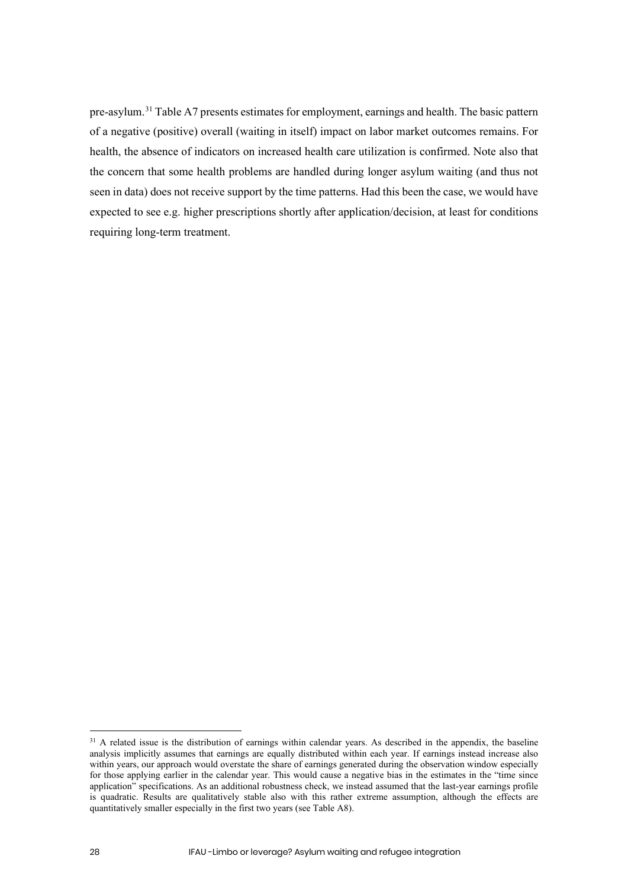pre-asylum.[31](#page-27-0) [Table A7](#page-41-0) presents estimates for employment, earnings and health. The basic pattern of a negative (positive) overall (waiting in itself) impact on labor market outcomes remains. For health, the absence of indicators on increased health care utilization is confirmed. Note also that the concern that some health problems are handled during longer asylum waiting (and thus not seen in data) does not receive support by the time patterns. Had this been the case, we would have expected to see e.g. higher prescriptions shortly after application/decision, at least for conditions requiring long-term treatment.

<span id="page-27-0"></span><sup>&</sup>lt;sup>31</sup> A related issue is the distribution of earnings within calendar years. As described in the appendix, the baseline analysis implicitly assumes that earnings are equally distributed within each year. If earnings instead increase also within years, our approach would overstate the share of earnings generated during the observation window especially for those applying earlier in the calendar year. This would cause a negative bias in the estimates in the "time since application" specifications. As an additional robustness check, we instead assumed that the last-year earnings profile is quadratic. Results are qualitatively stable also with this rather extreme assumption, although the effects are quantitatively smaller especially in the first two years (se[e Table A8\)](#page-42-0).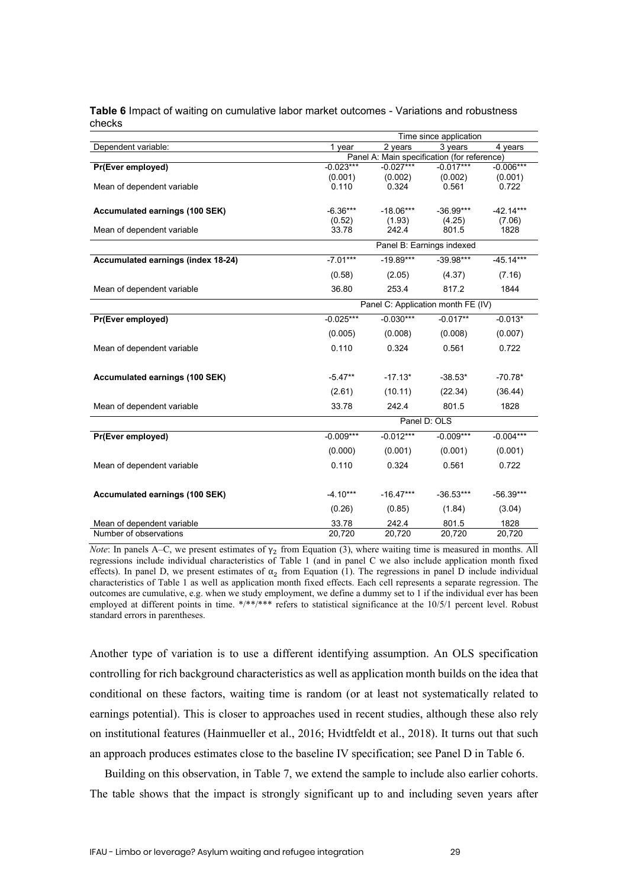|                                    | Time since application             |                                             |                           |                  |  |
|------------------------------------|------------------------------------|---------------------------------------------|---------------------------|------------------|--|
| Dependent variable:                | 1 year                             | 2 years                                     | 3 years                   | 4 years          |  |
|                                    |                                    | Panel A: Main specification (for reference) |                           |                  |  |
| Pr(Ever employed)                  | $-0.023***$                        | $-0.027***$                                 | $-0.017***$               | $-0.006***$      |  |
|                                    | (0.001)<br>0.110                   | (0.002)<br>0.324                            | (0.002)<br>0.561          | (0.001)<br>0.722 |  |
| Mean of dependent variable         |                                    |                                             |                           |                  |  |
| Accumulated earnings (100 SEK)     | $-6.36***$                         | $-18.06***$                                 | $-36.99***$               | $-42.14***$      |  |
|                                    | (0.52)                             | (1.93)                                      | (4.25)                    | (7.06)           |  |
| Mean of dependent variable         | 33.78                              | 242.4                                       | 801.5                     | 1828             |  |
|                                    |                                    |                                             | Panel B: Earnings indexed |                  |  |
| Accumulated earnings (index 18-24) | $-7.01***$                         | $-19.89***$                                 | $-39.98***$               | $-45.14***$      |  |
|                                    | (0.58)                             | (2.05)                                      | (4.37)                    | (7.16)           |  |
| Mean of dependent variable         | 36.80                              | 253.4                                       | 817.2                     | 1844             |  |
|                                    | Panel C: Application month FE (IV) |                                             |                           |                  |  |
| Pr(Ever employed)                  | $-0.025***$                        | $-0.030***$                                 | $-0.017**$                | $-0.013*$        |  |
|                                    | (0.005)                            | (0.008)                                     | (0.008)                   | (0.007)          |  |
| Mean of dependent variable         | 0.110                              | 0.324                                       | 0.561                     | 0.722            |  |
|                                    |                                    |                                             |                           |                  |  |
| Accumulated earnings (100 SEK)     | $-5.47**$                          | $-17.13*$                                   | $-38.53*$                 | $-70.78*$        |  |
|                                    | (2.61)                             | (10.11)                                     | (22.34)                   | (36.44)          |  |
| Mean of dependent variable         | 33.78                              | 242.4                                       | 801.5                     | 1828             |  |
|                                    |                                    | Panel D: OLS                                |                           |                  |  |
| Pr(Ever employed)                  | $-0.009***$                        | $-0.012***$                                 | $-0.009***$               | $-0.004***$      |  |
|                                    | (0.000)                            | (0.001)                                     | (0.001)                   | (0.001)          |  |
| Mean of dependent variable         | 0.110                              | 0.324                                       | 0.561                     | 0.722            |  |
|                                    |                                    |                                             |                           |                  |  |
| Accumulated earnings (100 SEK)     | $-4.10***$                         | $-16.47***$                                 | $-36.53***$               | $-56.39***$      |  |
|                                    | (0.26)                             | (0.85)                                      | (1.84)                    | (3.04)           |  |
| Mean of dependent variable         | 33.78                              | 242.4                                       | 801.5                     | 1828             |  |
| Number of observations             | 20,720                             | 20.720                                      | 20,720                    | 20.720           |  |

<span id="page-28-0"></span>**Table 6** Impact of waiting on cumulative labor market outcomes - Variations and robustness checks

*Note*: In panels A–C, we present estimates of  $\gamma_2$  from Equation [\(3\),](#page-15-1) where waiting time is measured in months. All regressions include individual characteristics of [Table 1](#page-11-0) (and in panel C we also include application month fixed effects). In panel D, we present estimates of  $\alpha_2$  from Equation [\(1\).](#page-14-1) The regressions in panel D include individual characteristics of [Table 1](#page-11-0) as well as application month fixed effects. Each cell represents a separate regression. The outcomes are cumulative, e.g. when we study employment, we define a dummy set to 1 if the individual ever has been employed at different points in time. \*/\*\*/\*\*\* refers to statistical significance at the 10/5/1 percent level. Robust standard errors in parentheses.

Another type of variation is to use a different identifying assumption. An OLS specification controlling for rich background characteristics as well as application month builds on the idea that conditional on these factors, waiting time is random (or at least not systematically related to earnings potential). This is closer to approaches used in recent studies, although these also rely on institutional features (Hainmueller et al., 2016; Hvidtfeldt et al., 2018). It turns out that such an approach produces estimates close to the baseline IV specification; see Panel D in [Table 6.](#page-28-0)

Building on this observation, in [Table 7,](#page-29-1) we extend the sample to include also earlier cohorts. The table shows that the impact is strongly significant up to and including seven years after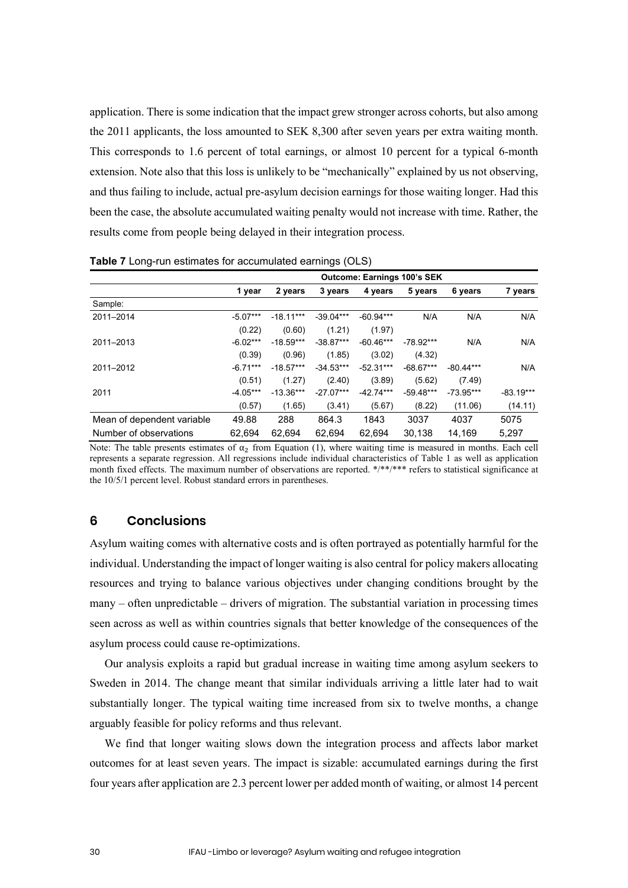application. There is some indication that the impact grew stronger across cohorts, but also among the 2011 applicants, the loss amounted to SEK 8,300 after seven years per extra waiting month. This corresponds to 1.6 percent of total earnings, or almost 10 percent for a typical 6-month extension. Note also that this loss is unlikely to be "mechanically" explained by us not observing, and thus failing to include, actual pre-asylum decision earnings for those waiting longer. Had this been the case, the absolute accumulated waiting penalty would not increase with time. Rather, the results come from people being delayed in their integration process.

|                            |            | <b>Outcome: Earnings 100's SEK</b> |             |             |             |             |             |  |
|----------------------------|------------|------------------------------------|-------------|-------------|-------------|-------------|-------------|--|
|                            | 1 year     | 2 years                            | 3 years     | 4 years     | 5 years     | 6 years     | 7 years     |  |
| Sample:                    |            |                                    |             |             |             |             |             |  |
| 2011-2014                  | $-5.07***$ | $-18.11***$                        | $-39.04***$ | $-60.94***$ | N/A         | N/A         | N/A         |  |
|                            | (0.22)     | (0.60)                             | (1.21)      | (1.97)      |             |             |             |  |
| 2011-2013                  | $-6.02***$ | $-18.59***$                        | $-38.87***$ | $-60.46***$ | $-78.92***$ | N/A         | N/A         |  |
|                            | (0.39)     | (0.96)                             | (1.85)      | (3.02)      | (4.32)      |             |             |  |
| 2011-2012                  | $-6.71***$ | $-18.57***$                        | $-34.53***$ | $-52.31***$ | $-68.67***$ | $-80.44***$ | N/A         |  |
|                            | (0.51)     | (1.27)                             | (2.40)      | (3.89)      | (5.62)      | (7.49)      |             |  |
| 2011                       | $-4.05***$ | $-13.36***$                        | $-27.07***$ | $-42.74***$ | $-59.48***$ | $-73.95***$ | $-83.19***$ |  |
|                            | (0.57)     | (1.65)                             | (3.41)      | (5.67)      | (8.22)      | (11.06)     | (14.11)     |  |
| Mean of dependent variable | 49.88      | 288                                | 864.3       | 1843        | 3037        | 4037        | 5075        |  |
| Number of observations     | 62.694     | 62.694                             | 62.694      | 62.694      | 30.138      | 14.169      | 5,297       |  |

<span id="page-29-1"></span>**Table 7** Long-run estimates for accumulated earnings (OLS)

Note: The table presents estimates of  $\alpha_2$  from Equation [\(1\),](#page-14-1) where waiting time is measured in months. Each cell represents a separate regression. All regressions include individual characteristics of [Table 1](#page-11-0) as well as application month fixed effects. The maximum number of observations are reported. \*/\*\*/\*\*\* refers to statistical significance at the 10/5/1 percent level. Robust standard errors in parentheses.

## <span id="page-29-0"></span>**6 Conclusions**

Asylum waiting comes with alternative costs and is often portrayed as potentially harmful for the individual. Understanding the impact of longer waiting is also central for policy makers allocating resources and trying to balance various objectives under changing conditions brought by the many – often unpredictable – drivers of migration. The substantial variation in processing times seen across as well as within countries signals that better knowledge of the consequences of the asylum process could cause re-optimizations.

Our analysis exploits a rapid but gradual increase in waiting time among asylum seekers to Sweden in 2014. The change meant that similar individuals arriving a little later had to wait substantially longer. The typical waiting time increased from six to twelve months, a change arguably feasible for policy reforms and thus relevant.

We find that longer waiting slows down the integration process and affects labor market outcomes for at least seven years. The impact is sizable: accumulated earnings during the first four years after application are 2.3 percent lower per added month of waiting, or almost 14 percent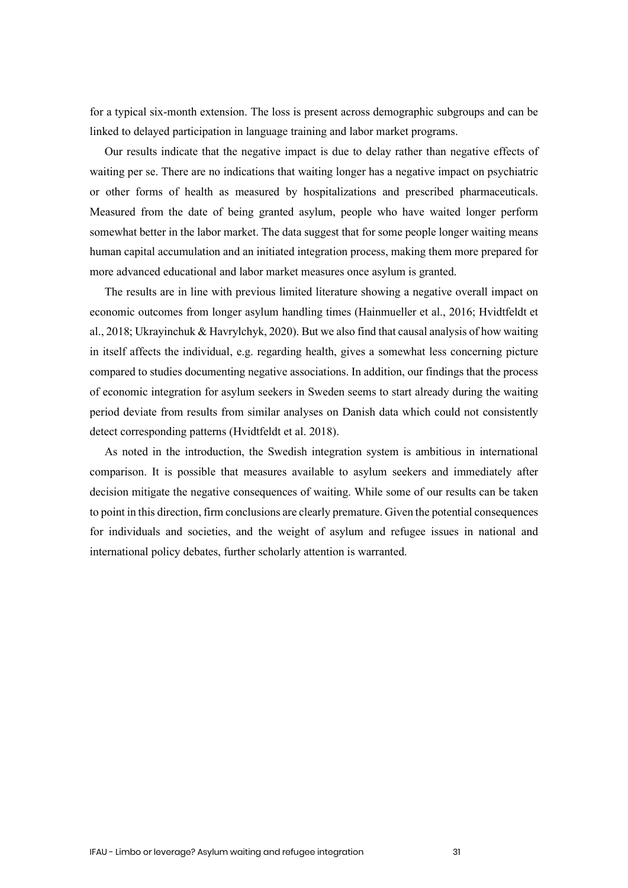for a typical six-month extension. The loss is present across demographic subgroups and can be linked to delayed participation in language training and labor market programs.

Our results indicate that the negative impact is due to delay rather than negative effects of waiting per se. There are no indications that waiting longer has a negative impact on psychiatric or other forms of health as measured by hospitalizations and prescribed pharmaceuticals. Measured from the date of being granted asylum, people who have waited longer perform somewhat better in the labor market. The data suggest that for some people longer waiting means human capital accumulation and an initiated integration process, making them more prepared for more advanced educational and labor market measures once asylum is granted.

The results are in line with previous limited literature showing a negative overall impact on economic outcomes from longer asylum handling times (Hainmueller et al., 2016; Hvidtfeldt et al., 2018; Ukrayinchuk & Havrylchyk, 2020). But we also find that causal analysis of how waiting in itself affects the individual, e.g. regarding health, gives a somewhat less concerning picture compared to studies documenting negative associations. In addition, our findings that the process of economic integration for asylum seekers in Sweden seems to start already during the waiting period deviate from results from similar analyses on Danish data which could not consistently detect corresponding patterns (Hvidtfeldt et al. 2018).

As noted in the introduction, the Swedish integration system is ambitious in international comparison. It is possible that measures available to asylum seekers and immediately after decision mitigate the negative consequences of waiting. While some of our results can be taken to point in this direction, firm conclusions are clearly premature. Given the potential consequences for individuals and societies, and the weight of asylum and refugee issues in national and international policy debates, further scholarly attention is warranted.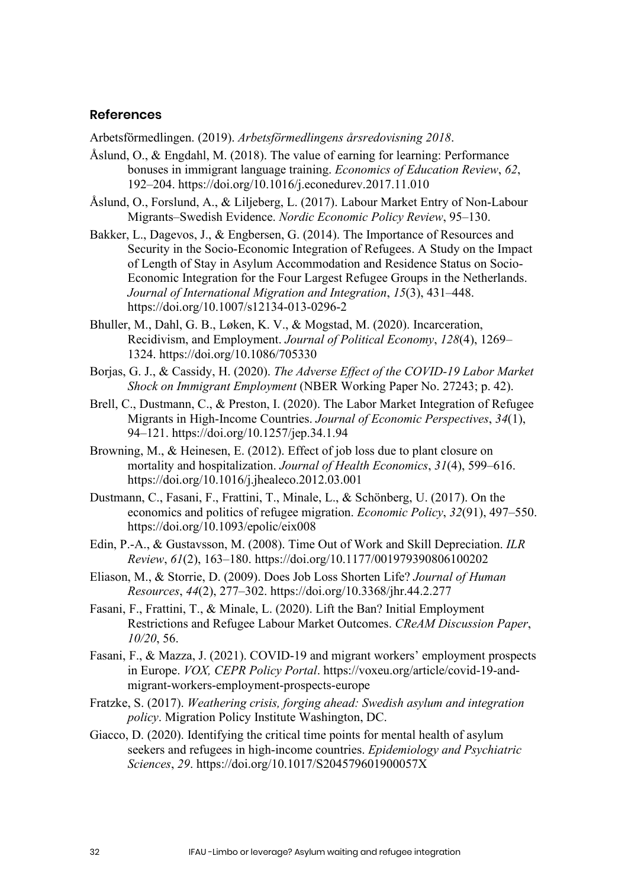## <span id="page-31-0"></span>**References**

Arbetsförmedlingen. (2019). *Arbetsförmedlingens årsredovisning 2018*.

- Åslund, O., & Engdahl, M. (2018). The value of earning for learning: Performance bonuses in immigrant language training. *Economics of Education Review*, *62*, 192–204. https://doi.org/10.1016/j.econedurev.2017.11.010
- Åslund, O., Forslund, A., & Liljeberg, L. (2017). Labour Market Entry of Non-Labour Migrants–Swedish Evidence. *Nordic Economic Policy Review*, 95–130.
- Bakker, L., Dagevos, J., & Engbersen, G. (2014). The Importance of Resources and Security in the Socio-Economic Integration of Refugees. A Study on the Impact of Length of Stay in Asylum Accommodation and Residence Status on Socio-Economic Integration for the Four Largest Refugee Groups in the Netherlands. *Journal of International Migration and Integration*, *15*(3), 431–448. https://doi.org/10.1007/s12134-013-0296-2
- Bhuller, M., Dahl, G. B., Løken, K. V., & Mogstad, M. (2020). Incarceration, Recidivism, and Employment. *Journal of Political Economy*, *128*(4), 1269– 1324. https://doi.org/10.1086/705330
- Borjas, G. J., & Cassidy, H. (2020). *The Adverse Effect of the COVID-19 Labor Market Shock on Immigrant Employment* (NBER Working Paper No. 27243; p. 42).
- Brell, C., Dustmann, C., & Preston, I. (2020). The Labor Market Integration of Refugee Migrants in High-Income Countries. *Journal of Economic Perspectives*, *34*(1), 94–121. https://doi.org/10.1257/jep.34.1.94
- Browning, M., & Heinesen, E. (2012). Effect of job loss due to plant closure on mortality and hospitalization. *Journal of Health Economics*, *31*(4), 599–616. https://doi.org/10.1016/j.jhealeco.2012.03.001
- Dustmann, C., Fasani, F., Frattini, T., Minale, L., & Schönberg, U. (2017). On the economics and politics of refugee migration. *Economic Policy*, *32*(91), 497–550. https://doi.org/10.1093/epolic/eix008
- Edin, P.-A., & Gustavsson, M. (2008). Time Out of Work and Skill Depreciation. *ILR Review*, *61*(2), 163–180. https://doi.org/10.1177/001979390806100202
- Eliason, M., & Storrie, D. (2009). Does Job Loss Shorten Life? *Journal of Human Resources*, *44*(2), 277–302. https://doi.org/10.3368/jhr.44.2.277
- Fasani, F., Frattini, T., & Minale, L. (2020). Lift the Ban? Initial Employment Restrictions and Refugee Labour Market Outcomes. *CReAM Discussion Paper*, *10/20*, 56.
- Fasani, F., & Mazza, J. (2021). COVID-19 and migrant workers' employment prospects in Europe. *VOX, CEPR Policy Portal*. https://voxeu.org/article/covid-19-andmigrant-workers-employment-prospects-europe
- Fratzke, S. (2017). *Weathering crisis, forging ahead: Swedish asylum and integration policy*. Migration Policy Institute Washington, DC.
- Giacco, D. (2020). Identifying the critical time points for mental health of asylum seekers and refugees in high-income countries. *Epidemiology and Psychiatric Sciences*, *29*. https://doi.org/10.1017/S204579601900057X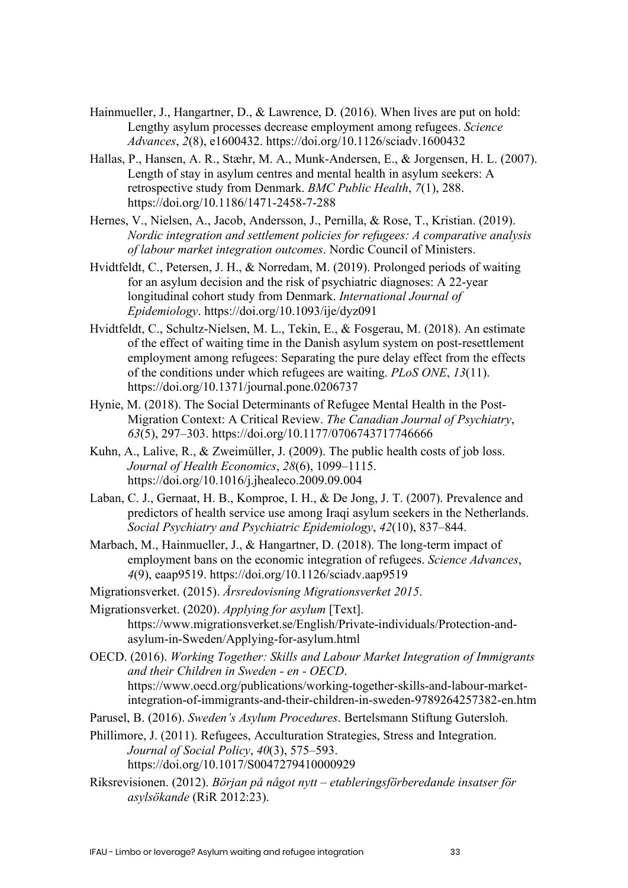- Hainmueller, J., Hangartner, D., & Lawrence, D. (2016). When lives are put on hold: Lengthy asylum processes decrease employment among refugees. *Science Advances*, *2*(8), e1600432. https://doi.org/10.1126/sciadv.1600432
- Hallas, P., Hansen, A. R., Stæhr, M. A., Munk-Andersen, E., & Jorgensen, H. L. (2007). Length of stay in asylum centres and mental health in asylum seekers: A retrospective study from Denmark. *BMC Public Health*, *7*(1), 288. https://doi.org/10.1186/1471-2458-7-288
- Hernes, V., Nielsen, A., Jacob, Andersson, J., Pernilla, & Rose, T., Kristian. (2019). *Nordic integration and settlement policies for refugees: A comparative analysis of labour market integration outcomes*. Nordic Council of Ministers.
- Hvidtfeldt, C., Petersen, J. H., & Norredam, M. (2019). Prolonged periods of waiting for an asylum decision and the risk of psychiatric diagnoses: A 22-year longitudinal cohort study from Denmark. *International Journal of Epidemiology*. https://doi.org/10.1093/ije/dyz091
- Hvidtfeldt, C., Schultz-Nielsen, M. L., Tekin, E., & Fosgerau, M. (2018). An estimate of the effect of waiting time in the Danish asylum system on post-resettlement employment among refugees: Separating the pure delay effect from the effects of the conditions under which refugees are waiting. *PLoS ONE*, *13*(11). https://doi.org/10.1371/journal.pone.0206737
- Hynie, M. (2018). The Social Determinants of Refugee Mental Health in the Post-Migration Context: A Critical Review. *The Canadian Journal of Psychiatry*, *63*(5), 297–303. https://doi.org/10.1177/0706743717746666
- Kuhn, A., Lalive, R., & Zweimüller, J. (2009). The public health costs of job loss. *Journal of Health Economics*, *28*(6), 1099–1115. https://doi.org/10.1016/j.jhealeco.2009.09.004
- Laban, C. J., Gernaat, H. B., Komproe, I. H., & De Jong, J. T. (2007). Prevalence and predictors of health service use among Iraqi asylum seekers in the Netherlands. *Social Psychiatry and Psychiatric Epidemiology*, *42*(10), 837–844.
- Marbach, M., Hainmueller, J., & Hangartner, D. (2018). The long-term impact of employment bans on the economic integration of refugees. *Science Advances*, *4*(9), eaap9519. https://doi.org/10.1126/sciadv.aap9519
- Migrationsverket. (2015). *Årsredovisning Migrationsverket 2015*.
- Migrationsverket. (2020). *Applying for asylum* [Text]. https://www.migrationsverket.se/English/Private-individuals/Protection-andasylum-in-Sweden/Applying-for-asylum.html
- OECD. (2016). *Working Together: Skills and Labour Market Integration of Immigrants and their Children in Sweden - en - OECD*. https://www.oecd.org/publications/working-together-skills-and-labour-marketintegration-of-immigrants-and-their-children-in-sweden-9789264257382-en.htm

Parusel, B. (2016). *Sweden's Asylum Procedures*. Bertelsmann Stiftung Gutersloh.

- Phillimore, J. (2011). Refugees, Acculturation Strategies, Stress and Integration. *Journal of Social Policy*, *40*(3), 575–593. https://doi.org/10.1017/S0047279410000929
- Riksrevisionen. (2012). *Början på något nytt – etableringsförberedande insatser för asylsökande* (RiR 2012:23).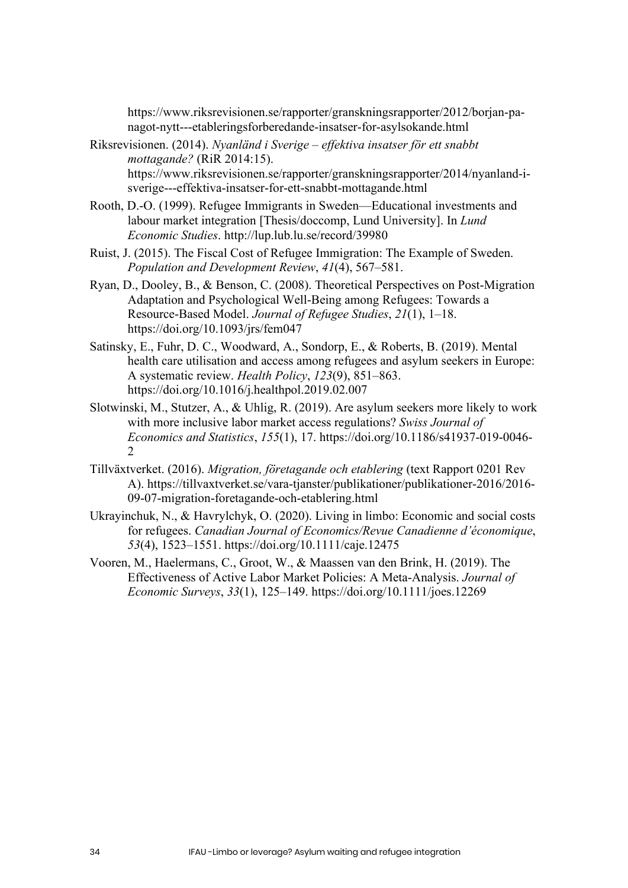https://www.riksrevisionen.se/rapporter/granskningsrapporter/2012/borjan-panagot-nytt---etableringsforberedande-insatser-for-asylsokande.html

- Riksrevisionen. (2014). *Nyanländ i Sverige – effektiva insatser för ett snabbt mottagande?* (RiR 2014:15). https://www.riksrevisionen.se/rapporter/granskningsrapporter/2014/nyanland-isverige---effektiva-insatser-for-ett-snabbt-mottagande.html
- Rooth, D.-O. (1999). Refugee Immigrants in Sweden—Educational investments and labour market integration [Thesis/doccomp, Lund University]. In *Lund Economic Studies*. http://lup.lub.lu.se/record/39980
- Ruist, J. (2015). The Fiscal Cost of Refugee Immigration: The Example of Sweden. *Population and Development Review*, *41*(4), 567–581.
- Ryan, D., Dooley, B., & Benson, C. (2008). Theoretical Perspectives on Post-Migration Adaptation and Psychological Well-Being among Refugees: Towards a Resource-Based Model. *Journal of Refugee Studies*, *21*(1), 1–18. https://doi.org/10.1093/jrs/fem047
- Satinsky, E., Fuhr, D. C., Woodward, A., Sondorp, E., & Roberts, B. (2019). Mental health care utilisation and access among refugees and asylum seekers in Europe: A systematic review. *Health Policy*, *123*(9), 851–863. https://doi.org/10.1016/j.healthpol.2019.02.007
- Slotwinski, M., Stutzer, A., & Uhlig, R. (2019). Are asylum seekers more likely to work with more inclusive labor market access regulations? *Swiss Journal of Economics and Statistics*, *155*(1), 17. https://doi.org/10.1186/s41937-019-0046- 2
- Tillväxtverket. (2016). *Migration, företagande och etablering* (text Rapport 0201 Rev A). https://tillvaxtverket.se/vara-tjanster/publikationer/publikationer-2016/2016- 09-07-migration-foretagande-och-etablering.html
- Ukrayinchuk, N., & Havrylchyk, O. (2020). Living in limbo: Economic and social costs for refugees. *Canadian Journal of Economics/Revue Canadienne d'économique*, *53*(4), 1523–1551. https://doi.org/10.1111/caje.12475
- Vooren, M., Haelermans, C., Groot, W., & Maassen van den Brink, H. (2019). The Effectiveness of Active Labor Market Policies: A Meta-Analysis. *Journal of Economic Surveys*, *33*(1), 125–149. https://doi.org/10.1111/joes.12269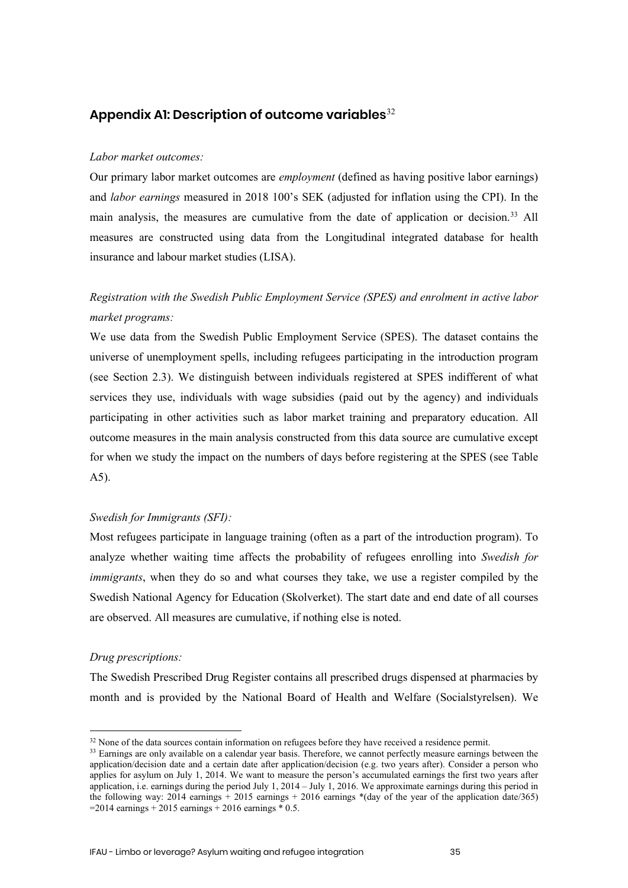## <span id="page-34-0"></span>**Appendix A1: Description of outcome variables**[32](#page-34-1)

#### *Labor market outcomes:*

Our primary labor market outcomes are *employment* (defined as having positive labor earnings) and *labor earnings* measured in 2018 100's SEK (adjusted for inflation using the CPI). In the main analysis, the measures are cumulative from the date of application or decision.<sup>[33](#page-34-2)</sup> All measures are constructed using data from the Longitudinal integrated database for health insurance and labour market studies (LISA).

## *Registration with the Swedish Public Employment Service (SPES) and enrolment in active labor market programs:*

We use data from the Swedish Public Employment Service (SPES). The dataset contains the universe of unemployment spells, including refugees participating in the introduction program (see Section [2.3\)](#page-7-0). We distinguish between individuals registered at SPES indifferent of what services they use, individuals with wage subsidies (paid out by the agency) and individuals participating in other activities such as labor market training and preparatory education. All outcome measures in the main analysis constructed from this data source are cumulative except for when we study the impact on the numbers of days before registering at the SPES (see [Table](#page-39-0)  [A5\)](#page-39-0).

#### *Swedish for Immigrants (SFI):*

Most refugees participate in language training (often as a part of the introduction program). To analyze whether waiting time affects the probability of refugees enrolling into *Swedish for immigrants*, when they do so and what courses they take, we use a register compiled by the Swedish National Agency for Education (Skolverket). The start date and end date of all courses are observed. All measures are cumulative, if nothing else is noted.

#### *Drug prescriptions:*

The Swedish Prescribed Drug Register contains all prescribed drugs dispensed at pharmacies by month and is provided by the National Board of Health and Welfare (Socialstyrelsen). We

<sup>&</sup>lt;sup>32</sup> None of the data sources contain information on refugees before they have received a residence permit.

<span id="page-34-2"></span><span id="page-34-1"></span><sup>&</sup>lt;sup>33</sup> Earnings are only available on a calendar year basis. Therefore, we cannot perfectly measure earnings between the application/decision date and a certain date after application/decision (e.g. two years after). Consider a person who applies for asylum on July 1, 2014. We want to measure the person's accumulated earnings the first two years after application, i.e. earnings during the period July 1, 2014 – July 1, 2016. We approximate earnings during this period in the following way: 2014 earnings  $+$  2015 earnings  $+$  2016 earnings  $*$ (day of the year of the application date/365)  $=$  2014 earnings  $+$  2015 earnings  $+$  2016 earnings  $*$  0.5.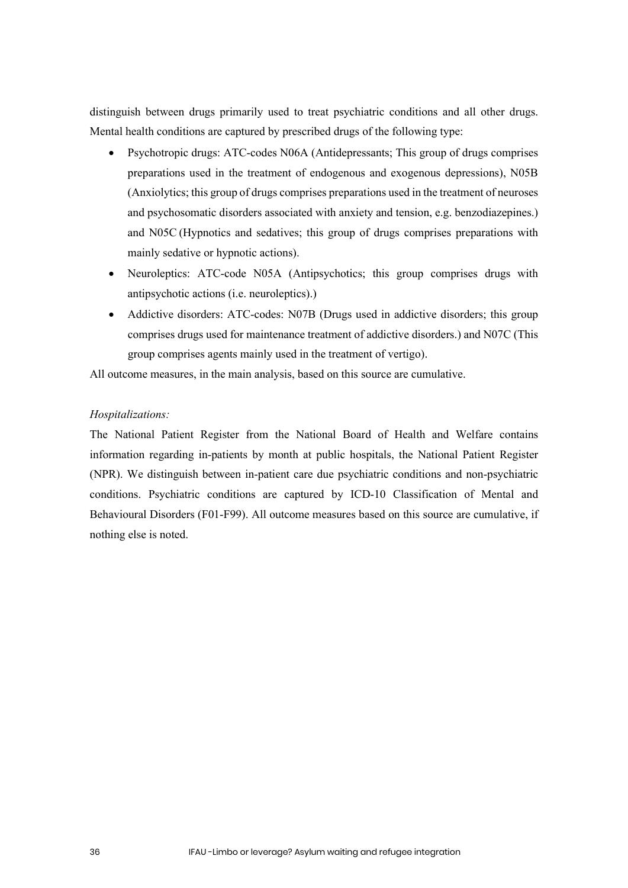distinguish between drugs primarily used to treat psychiatric conditions and all other drugs. Mental health conditions are captured by prescribed drugs of the following type:

- Psychotropic drugs: ATC-codes N06A (Antidepressants; This group of drugs comprises preparations used in the treatment of endogenous and exogenous depressions), N05B (Anxiolytics; this group of drugs comprises preparations used in the treatment of neuroses and psychosomatic disorders associated with anxiety and tension, e.g. benzodiazepines.) and N05C (Hypnotics and sedatives; this group of drugs comprises preparations with mainly sedative or hypnotic actions).
- Neuroleptics: ATC-code N05A (Antipsychotics; this group comprises drugs with antipsychotic actions (i.e. neuroleptics).)
- Addictive disorders: ATC-codes: N07B (Drugs used in addictive disorders; this group comprises drugs used for maintenance treatment of addictive disorders.) and N07C (This group comprises agents mainly used in the treatment of vertigo).

All outcome measures, in the main analysis, based on this source are cumulative.

#### *Hospitalizations:*

The National Patient Register from the National Board of Health and Welfare contains information regarding in-patients by month at public hospitals, the National Patient Register (NPR). We distinguish between in-patient care due psychiatric conditions and non-psychiatric conditions. Psychiatric conditions are captured by ICD-10 Classification of Mental and Behavioural Disorders (F01-F99). All outcome measures based on this source are cumulative, if nothing else is noted.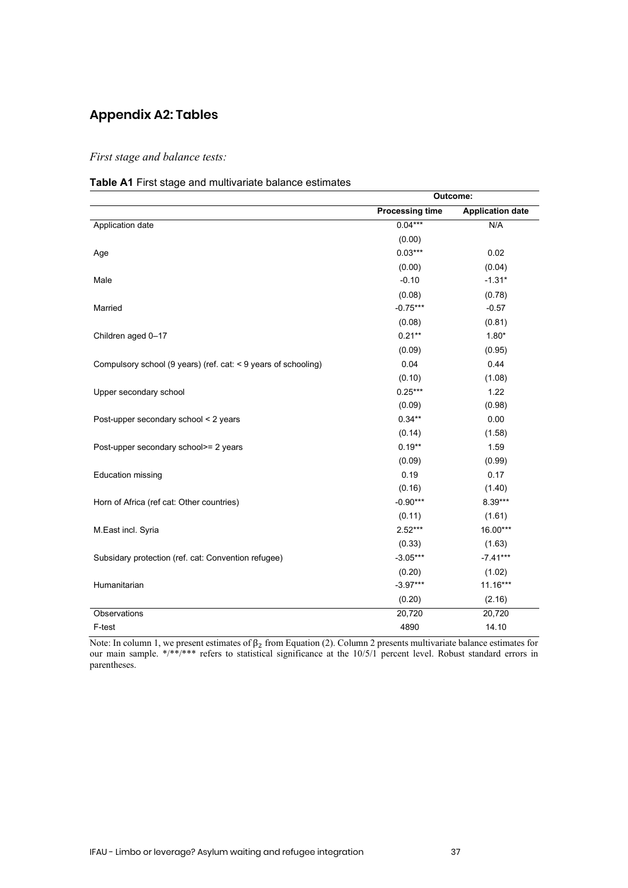## <span id="page-36-0"></span>**Appendix A2: Tables**

#### *First stage and balance tests:*

## <span id="page-36-1"></span>**Table A1** First stage and multivariate balance estimates

|                                                                | Outcome:               |                         |  |  |
|----------------------------------------------------------------|------------------------|-------------------------|--|--|
|                                                                | <b>Processing time</b> | <b>Application date</b> |  |  |
| Application date                                               | $0.04***$              | N/A                     |  |  |
|                                                                | (0.00)                 |                         |  |  |
| Age                                                            | $0.03***$              | 0.02                    |  |  |
|                                                                | (0.00)                 | (0.04)                  |  |  |
| Male                                                           | $-0.10$                | $-1.31*$                |  |  |
|                                                                | (0.08)                 | (0.78)                  |  |  |
| Married                                                        | $-0.75***$             | $-0.57$                 |  |  |
|                                                                | (0.08)                 | (0.81)                  |  |  |
| Children aged 0-17                                             | $0.21**$               | $1.80*$                 |  |  |
|                                                                | (0.09)                 | (0.95)                  |  |  |
| Compulsory school (9 years) (ref. cat: < 9 years of schooling) | 0.04                   | 0.44                    |  |  |
|                                                                | (0.10)                 | (1.08)                  |  |  |
| Upper secondary school                                         | $0.25***$              | 1.22                    |  |  |
|                                                                | (0.09)                 | (0.98)                  |  |  |
| Post-upper secondary school < 2 years                          | $0.34**$               | 0.00                    |  |  |
|                                                                | (0.14)                 | (1.58)                  |  |  |
| Post-upper secondary school>= 2 years                          | $0.19**$               | 1.59                    |  |  |
|                                                                | (0.09)                 | (0.99)                  |  |  |
| <b>Education missing</b>                                       | 0.19                   | 0.17                    |  |  |
|                                                                | (0.16)                 | (1.40)                  |  |  |
| Horn of Africa (ref cat: Other countries)                      | $-0.90***$             | 8.39***                 |  |  |
|                                                                | (0.11)                 | (1.61)                  |  |  |
| M.East incl. Syria                                             | $2.52***$              | 16.00***                |  |  |
|                                                                | (0.33)                 | (1.63)                  |  |  |
| Subsidary protection (ref. cat: Convention refugee)            | $-3.05***$             | $-7.41***$              |  |  |
|                                                                | (0.20)                 | (1.02)                  |  |  |
| Humanitarian                                                   | $-3.97***$             | 11.16***                |  |  |
|                                                                | (0.20)                 | (2.16)                  |  |  |
| Observations                                                   | 20,720                 | 20,720                  |  |  |
| F-test                                                         | 4890                   | 14.10                   |  |  |

Note: In column 1, we present estimates of  $\beta_2$  from Equatio[n \(2\).](#page-15-0) Column 2 presents multivariate balance estimates for our main sample. \*/\*\*/\*\*\* refers to statistical significance at the 10/5/1 percent level. Robust st parentheses.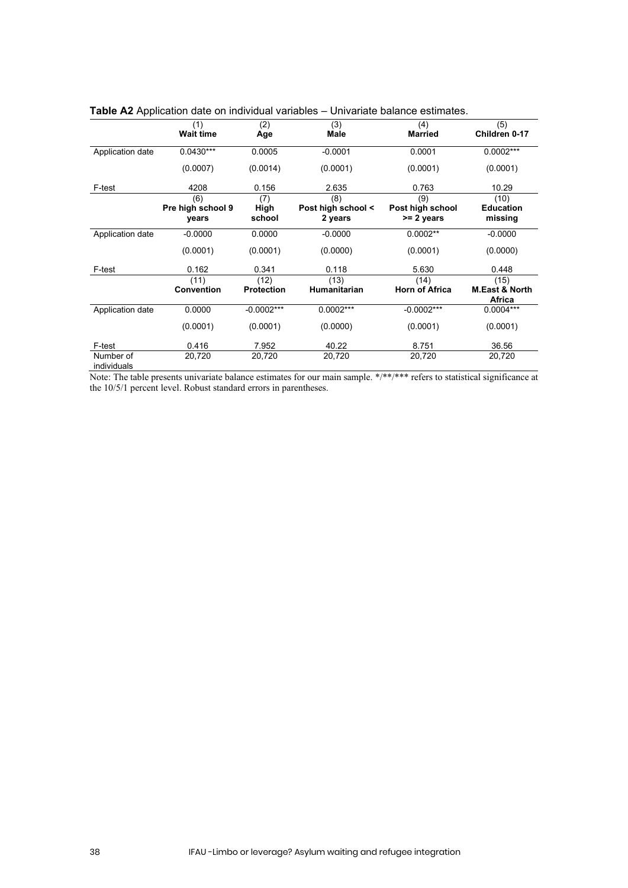| . .                      |                                   |                           |                                      |                                         |                                             |
|--------------------------|-----------------------------------|---------------------------|--------------------------------------|-----------------------------------------|---------------------------------------------|
|                          | (1)<br><b>Wait time</b>           | (2)<br>Age                | (3)<br>Male                          | (4)<br><b>Married</b>                   | (5)<br>Children 0-17                        |
| Application date         | $0.0430***$                       | 0.0005                    | $-0.0001$                            | 0.0001                                  | $0.0002***$                                 |
|                          | (0.0007)                          | (0.0014)                  | (0.0001)                             | (0.0001)                                | (0.0001)                                    |
| F-test                   | 4208                              | 0.156                     | 2.635                                | 0.763                                   | 10.29                                       |
|                          | (6)<br>Pre high school 9<br>years | (7)<br>High<br>school     | (8)<br>Post high school <<br>2 years | (9)<br>Post high school<br>$>= 2$ years | (10)<br><b>Education</b><br>missing         |
| Application date         | $-0.0000$                         | 0.0000                    | $-0.0000$                            | $0.0002**$                              | $-0.0000$                                   |
|                          | (0.0001)                          | (0.0001)                  | (0.0000)                             | (0.0001)                                | (0.0000)                                    |
| F-test                   | 0.162                             | 0.341                     | 0.118                                | 5.630                                   | 0.448                                       |
|                          | (11)<br><b>Convention</b>         | (12)<br><b>Protection</b> | (13)<br>Humanitarian                 | (14)<br><b>Horn of Africa</b>           | (15)<br><b>M.East &amp; North</b><br>Africa |
| Application date         | 0.0000                            | $-0.0002***$              | $0.0002***$                          | $-0.0002***$                            | $0.0004***$                                 |
|                          | (0.0001)                          | (0.0001)                  | (0.0000)                             | (0.0001)                                | (0.0001)                                    |
| F-test                   | 0.416                             | 7.952                     | 40.22                                | 8.751                                   | 36.56                                       |
| Number of<br>individuals | 20,720                            | 20,720                    | 20,720                               | 20,720                                  | 20,720                                      |

<span id="page-37-0"></span>**Table A2** Application date on individual variables – Univariate balance estimates.

Note: The table presents univariate balance estimates for our main sample. \*/\*\*/\*\*\* refers to statistical significance at the 10/5/1 percent level. Robust standard errors in parentheses.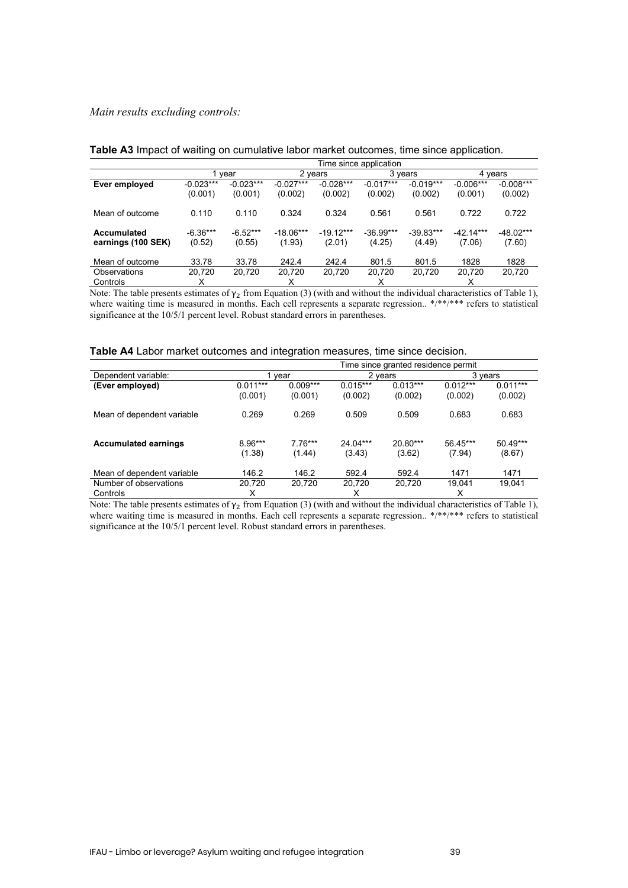*Main results excluding controls:*

|                    | Time since application |             |             |             |             |             |             |             |
|--------------------|------------------------|-------------|-------------|-------------|-------------|-------------|-------------|-------------|
|                    |                        | vear        |             | 2 vears     |             | 3 years     | 4 vears     |             |
| Ever employed      | $-0.023***$            | $-0.023***$ | $-0.027***$ | $-0.028***$ | $-0.017***$ | $-0.019***$ | $-0.006***$ | $-0.008***$ |
|                    | (0.001)                | (0.001)     | (0.002)     | (0.002)     | (0.002)     | (0.002)     | (0.001)     | (0.002)     |
| Mean of outcome    | 0.110                  | 0.110       | 0.324       | 0.324       | 0.561       | 0.561       | 0.722       | 0.722       |
| Accumulated        | $-6.36***$             | $-6.52***$  | $-18.06***$ | $-19.12***$ | $-36.99***$ | $-39.83***$ | $-42.14***$ | $-48.02***$ |
| earnings (100 SEK) | (0.52)                 | (0.55)      | (1.93)      | (2.01)      | (4.25)      | (4.49)      | (7.06)      | (7.60)      |
| Mean of outcome    | 33.78                  | 33.78       | 242.4       | 242.4       | 801.5       | 801.5       | 1828        | 1828        |
| Observations       | 20.720                 | 20,720      | 20,720      | 20,720      | 20,720      | 20,720      | 20,720      | 20,720      |
| Controls           | х                      |             | х           |             | x           |             |             |             |

<span id="page-38-0"></span>**Table A3** Impact of waiting on cumulative labor market outcomes, time since application.

Note: The table presents estimates of  $\gamma_2$  from Equatio[n \(3\)](#page-15-1) (with and without the individual characteristics of [Table 1\)](#page-11-0), where waiting time is measured in months. Each cell represents a separate regression.. \*/\*\*/\*\*\* refers to statistical significance at the 10/5/1 percent level. Robust standard errors in parentheses.

<span id="page-38-1"></span>

| Table A4 Labor market outcomes and integration measures, time since decision. |  |
|-------------------------------------------------------------------------------|--|
|-------------------------------------------------------------------------------|--|

|                             | Time since granted residence permit |                       |                       |                       |                       |                       |
|-----------------------------|-------------------------------------|-----------------------|-----------------------|-----------------------|-----------------------|-----------------------|
| Dependent variable:         | vear                                |                       | 2 years               |                       | 3 years               |                       |
| (Ever employed)             | $0.011***$<br>(0.001)               | $0.009***$<br>(0.001) | $0.015***$<br>(0.002) | $0.013***$<br>(0.002) | $0.012***$<br>(0.002) | $0.011***$<br>(0.002) |
| Mean of dependent variable  | 0.269                               | 0.269                 | 0.509                 | 0.509                 | 0.683                 | 0.683                 |
| <b>Accumulated earnings</b> | $8.96***$<br>(1.38)                 | $7.76***$<br>(1.44)   | 24.04***<br>(3.43)    | $20.80***$<br>(3.62)  | 56.45***<br>(7.94)    | $50.49***$<br>(8.67)  |
| Mean of dependent variable  | 146.2                               | 146.2                 | 592.4                 | 592.4                 | 1471                  | 1471                  |
| Number of observations      | 20,720                              | 20,720                | 20,720                | 20,720                | 19.041                | 19,041                |
| Controls                    | х                                   |                       | х                     |                       | x                     |                       |

Note: The table presents estimates of  $\gamma_2$  from Equatio[n \(3\)](#page-15-1) (with and without the individual characteristics of [Table 1\)](#page-11-0), where waiting time is measured in months. Each cell represents a separate regression.. \*/\*\*/\*\*\* refers to statistical significance at the 10/5/1 percent level. Robust standard errors in parentheses.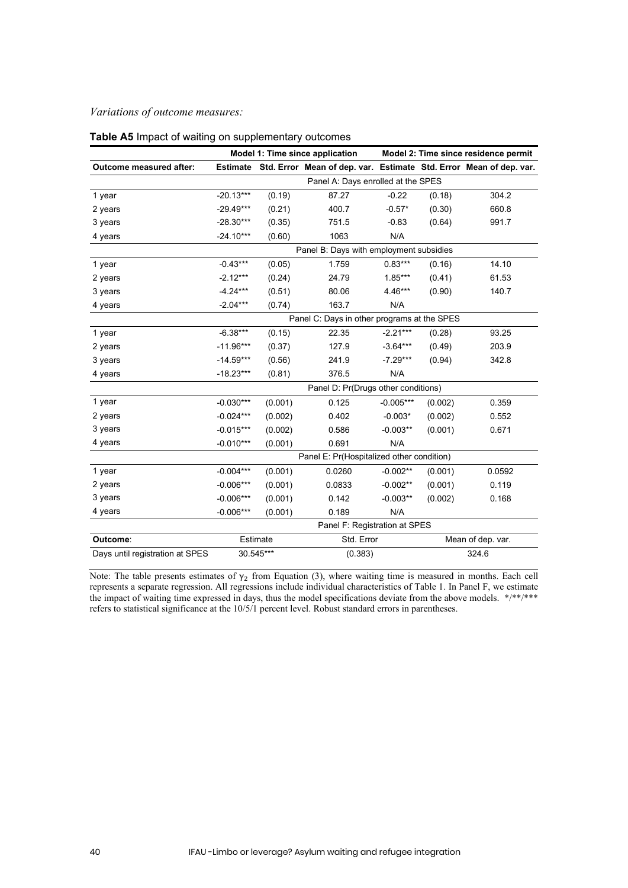## *Variations of outcome measures:*

|                                 | Model 1: Time since application             |         |         | Model 2: Time since residence permit |         |                                                                    |  |  |
|---------------------------------|---------------------------------------------|---------|---------|--------------------------------------|---------|--------------------------------------------------------------------|--|--|
| <b>Outcome measured after:</b>  | Estimate                                    |         |         |                                      |         | Std. Error Mean of dep. var. Estimate Std. Error Mean of dep. var. |  |  |
|                                 | Panel A: Days enrolled at the SPES          |         |         |                                      |         |                                                                    |  |  |
| 1 year                          | $-20.13***$                                 | (0.19)  | 87.27   | $-0.22$                              | (0.18)  | 304.2                                                              |  |  |
| 2 years                         | $-29.49***$                                 | (0.21)  | 400.7   | $-0.57*$                             | (0.30)  | 660.8                                                              |  |  |
| 3 years                         | $-28.30***$                                 | (0.35)  | 751.5   | $-0.83$                              | (0.64)  | 991.7                                                              |  |  |
| 4 years                         | $-24.10***$                                 | (0.60)  | 1063    | N/A                                  |         |                                                                    |  |  |
|                                 | Panel B: Days with employment subsidies     |         |         |                                      |         |                                                                    |  |  |
| 1 year                          | $-0.43***$                                  | (0.05)  | 1.759   | $0.83***$                            | (0.16)  | 14.10                                                              |  |  |
| 2 years                         | $-2.12***$                                  | (0.24)  | 24.79   | $1.85***$                            | (0.41)  | 61.53                                                              |  |  |
| 3 years                         | $-4.24***$                                  | (0.51)  | 80.06   | 4.46***                              | (0.90)  | 140.7                                                              |  |  |
| 4 years                         | $-2.04***$                                  | (0.74)  | 163.7   | N/A                                  |         |                                                                    |  |  |
|                                 | Panel C: Days in other programs at the SPES |         |         |                                      |         |                                                                    |  |  |
| 1 year                          | $-6.38***$                                  | (0.15)  | 22.35   | $-2.21***$                           | (0.28)  | 93.25                                                              |  |  |
| 2 years                         | $-11.96***$                                 | (0.37)  | 127.9   | $-3.64***$                           | (0.49)  | 203.9                                                              |  |  |
| 3 years                         | $-14.59***$                                 | (0.56)  | 241.9   | $-7.29***$                           | (0.94)  | 342.8                                                              |  |  |
| 4 years                         | $-18.23***$                                 | (0.81)  | 376.5   | N/A                                  |         |                                                                    |  |  |
|                                 | Panel D: Pr(Drugs other conditions)         |         |         |                                      |         |                                                                    |  |  |
| 1 year                          | $-0.030***$                                 | (0.001) | 0.125   | $-0.005***$                          | (0.002) | 0.359                                                              |  |  |
| 2 years                         | $-0.024***$                                 | (0.002) | 0.402   | $-0.003*$                            | (0.002) | 0.552                                                              |  |  |
| 3 years                         | $-0.015***$                                 | (0.002) | 0.586   | $-0.003**$                           | (0.001) | 0.671                                                              |  |  |
| 4 years                         | $-0.010***$                                 | (0.001) | 0.691   | N/A                                  |         |                                                                    |  |  |
|                                 | Panel E: Pr(Hospitalized other condition)   |         |         |                                      |         |                                                                    |  |  |
| 1 year                          | $-0.004***$                                 | (0.001) | 0.0260  | $-0.002**$                           | (0.001) | 0.0592                                                             |  |  |
| 2 years                         | $-0.006***$                                 | (0.001) | 0.0833  | $-0.002**$                           | (0.001) | 0.119                                                              |  |  |
| 3 years                         | $-0.006***$                                 | (0.001) | 0.142   | $-0.003**$                           | (0.002) | 0.168                                                              |  |  |
| 4 years                         | $-0.006***$                                 | (0.001) | 0.189   | N/A                                  |         |                                                                    |  |  |
|                                 | Panel F: Registration at SPES               |         |         |                                      |         |                                                                    |  |  |
| Outcome:                        | Estimate                                    |         |         | Std. Error                           |         | Mean of dep. var.                                                  |  |  |
| Days until registration at SPES | 30.545***                                   |         | (0.383) |                                      |         | 324.6                                                              |  |  |

<span id="page-39-0"></span>

Note: The table presents estimates of  $\gamma_2$  from Equation [\(3\),](#page-15-1) where waiting time is measured in months. Each cell represents a separate regression. All regressions include individual characteristics of [Table 1.](#page-11-0) In Panel F, we estimate the impact of waiting time expressed in days, thus the model specifications deviate from the above models. \*/\*\*/\*\*\* refers to statistical significance at the 10/5/1 percent level. Robust standard errors in parentheses.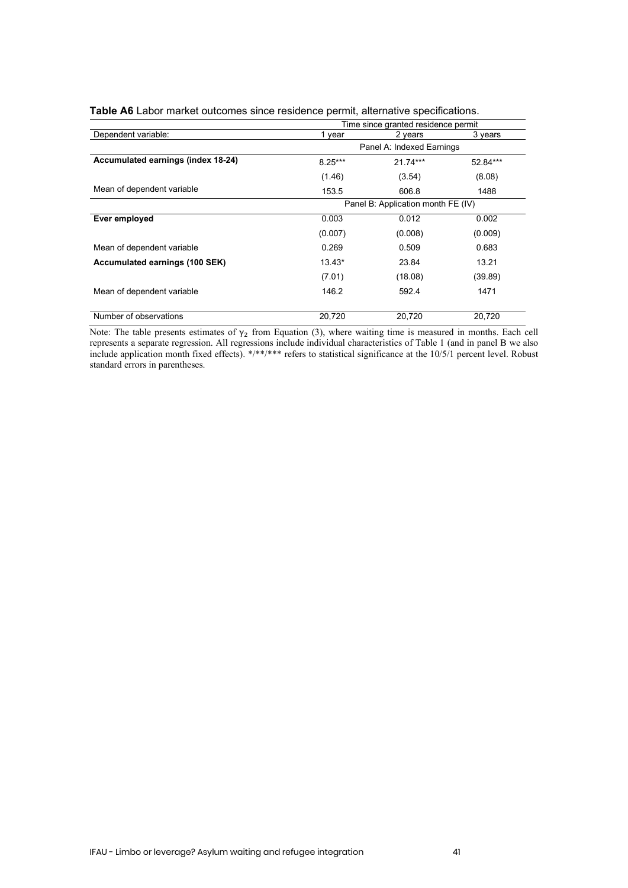|                                    | Time since granted residence permit |          |          |  |  |
|------------------------------------|-------------------------------------|----------|----------|--|--|
| Dependent variable:                | 1 year                              | 2 years  | 3 years  |  |  |
|                                    | Panel A: Indexed Earnings           |          |          |  |  |
| Accumulated earnings (index 18-24) | $8.25***$                           | 21.74*** | 52.84*** |  |  |
|                                    | (1.46)                              | (3.54)   | (8.08)   |  |  |
| Mean of dependent variable         | 153.5                               | 606.8    | 1488     |  |  |
|                                    | Panel B: Application month FE (IV)  |          |          |  |  |
| Ever employed                      | 0.003                               | 0.012    | 0.002    |  |  |
|                                    | (0.007)                             | (0.008)  | (0.009)  |  |  |
| Mean of dependent variable         | 0.269                               | 0.509    | 0.683    |  |  |
| Accumulated earnings (100 SEK)     | $13.43*$<br>23.84                   |          | 13.21    |  |  |
|                                    | (7.01)                              | (18.08)  | (39.89)  |  |  |
| Mean of dependent variable         | 146.2                               | 592.4    | 1471     |  |  |
| Number of observations             | 20.720                              | 20.720   | 20,720   |  |  |

#### <span id="page-40-0"></span>**Table A6** Labor market outcomes since residence permit, alternative specifications.

Note: The table presents estimates of  $\gamma_2$  from Equation [\(3\),](#page-15-1) where waiting time is measured in months. Each cell<br>represents a separate regression. All regressions include individual characteristics of [Table 1](#page-11-0) (and in p include application month fixed effects). \*/\*\*/\*\*\* refers to statistical significance at the 10/5/1 percent level. Robust standard errors in parentheses.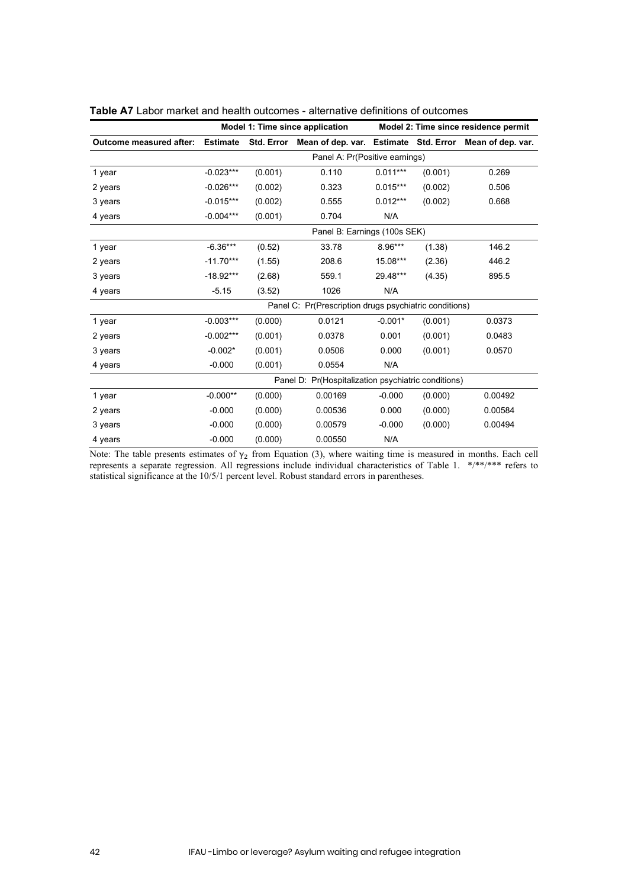|                                |                                                        |            | Model 1: Time since application | Model 2: Time since residence permit |         |                                                         |  |
|--------------------------------|--------------------------------------------------------|------------|---------------------------------|--------------------------------------|---------|---------------------------------------------------------|--|
| <b>Outcome measured after:</b> | <b>Estimate</b>                                        | Std. Error |                                 |                                      |         | Mean of dep. var. Estimate Std. Error Mean of dep. var. |  |
|                                | Panel A: Pr(Positive earnings)                         |            |                                 |                                      |         |                                                         |  |
| 1 year                         | $-0.023***$                                            | (0.001)    | 0.110                           | $0.011***$                           | (0.001) | 0.269                                                   |  |
| 2 years                        | $-0.026***$                                            | (0.002)    | 0.323                           | $0.015***$                           | (0.002) | 0.506                                                   |  |
| 3 years                        | $-0.015***$                                            | (0.002)    | 0.555                           | $0.012***$                           | (0.002) | 0.668                                                   |  |
| 4 years                        | $-0.004***$                                            | (0.001)    | 0.704                           | N/A                                  |         |                                                         |  |
|                                |                                                        |            | Panel B: Earnings (100s SEK)    |                                      |         |                                                         |  |
| 1 year                         | $-6.36***$                                             | (0.52)     | 33.78                           | 8.96***                              | (1.38)  | 146.2                                                   |  |
| 2 years                        | $-11.70***$                                            | (1.55)     | 208.6                           | 15.08***                             | (2.36)  | 446.2                                                   |  |
| 3 years                        | $-18.92***$                                            | (2.68)     | 559.1                           | 29.48***                             | (4.35)  | 895.5                                                   |  |
| 4 years                        | $-5.15$                                                | (3.52)     | 1026                            | N/A                                  |         |                                                         |  |
|                                | Panel C: Pr(Prescription drugs psychiatric conditions) |            |                                 |                                      |         |                                                         |  |
| 1 year                         | $-0.003***$                                            | (0.000)    | 0.0121                          | $-0.001*$                            | (0.001) | 0.0373                                                  |  |
| 2 years                        | $-0.002***$                                            | (0.001)    | 0.0378                          | 0.001                                | (0.001) | 0.0483                                                  |  |
| 3 years                        | $-0.002*$                                              | (0.001)    | 0.0506                          | 0.000                                | (0.001) | 0.0570                                                  |  |
| 4 years                        | $-0.000$                                               | (0.001)    | 0.0554                          | N/A                                  |         |                                                         |  |
|                                | Panel D: Pr(Hospitalization psychiatric conditions)    |            |                                 |                                      |         |                                                         |  |
| 1 year                         | $-0.000**$                                             | (0.000)    | 0.00169                         | $-0.000$                             | (0.000) | 0.00492                                                 |  |
| 2 years                        | $-0.000$                                               | (0.000)    | 0.00536                         | 0.000                                | (0.000) | 0.00584                                                 |  |
| 3 years                        | $-0.000$                                               | (0.000)    | 0.00579                         | $-0.000$                             | (0.000) | 0.00494                                                 |  |
| 4 years                        | $-0.000$                                               | (0.000)    | 0.00550                         | N/A                                  |         |                                                         |  |

<span id="page-41-0"></span>

Note: The table presents estimates of  $\gamma_2$  from Equation [\(3\),](#page-15-1) where waiting time is measured in months. Each cell represents a separate regression. All regressions include individual characteristics of [Table 1.](#page-11-0) \*/\*\*/\*\*\* statistical significance at the 10/5/1 percent level. Robust standard errors in parentheses.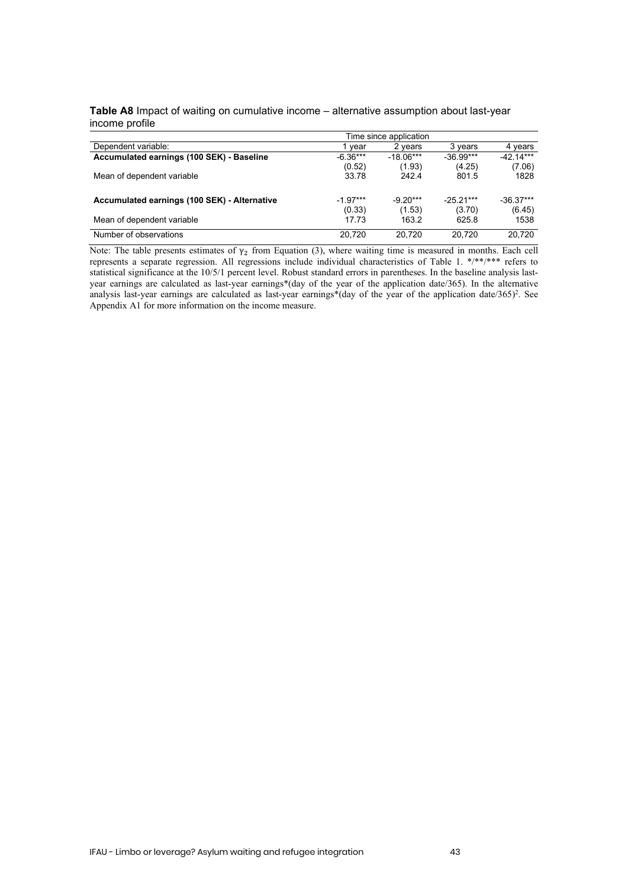#### <span id="page-42-0"></span>**Table A8** Impact of waiting on cumulative income – alternative assumption about last-year income profile

|                                              | Time since application |             |             |             |  |
|----------------------------------------------|------------------------|-------------|-------------|-------------|--|
| Dependent variable:                          | vear                   | 2 vears     | 3 years     | 4 vears     |  |
| Accumulated earnings (100 SEK) - Baseline    | $-6.36***$             | $-18.06***$ | $-36.99***$ | $-42.14***$ |  |
|                                              | (0.52)                 | (1.93)      | (4.25)      | (7.06)      |  |
| Mean of dependent variable                   | 33.78                  | 242.4       | 801.5       | 1828        |  |
|                                              |                        |             |             |             |  |
| Accumulated earnings (100 SEK) - Alternative | $-1.97***$             | $-9.20***$  | $-25.21***$ | $-36.37***$ |  |
|                                              | (0.33)                 | (1.53)      | (3.70)      | (6.45)      |  |
| Mean of dependent variable                   | 17.73                  | 163.2       | 625.8       | 1538        |  |
| Number of observations                       | 20.720                 | 20.720      | 20.720      | 20.720      |  |

Note: The table presents estimates of  $\gamma_2$  from Equation [\(3\),](#page-15-1) where waiting time is measured in months. Each cell represents a separate regression. All regressions include individual characteristics of [Table 1.](#page-11-0) \*/\*\*/\*\*\* refers to statistical significance at the 10/5/1 percent level. Robust standard errors in parentheses. In the baseline analysis lastyear earnings are calculated as last-year earnings\*(day of the year of the application date/365). In the alternative analysis last-year earnings are calculated as last-year earnings\*(day of the year of the application date/365)<sup>2</sup>. See [Appendix A1](#page-34-0) for more information on the income measure.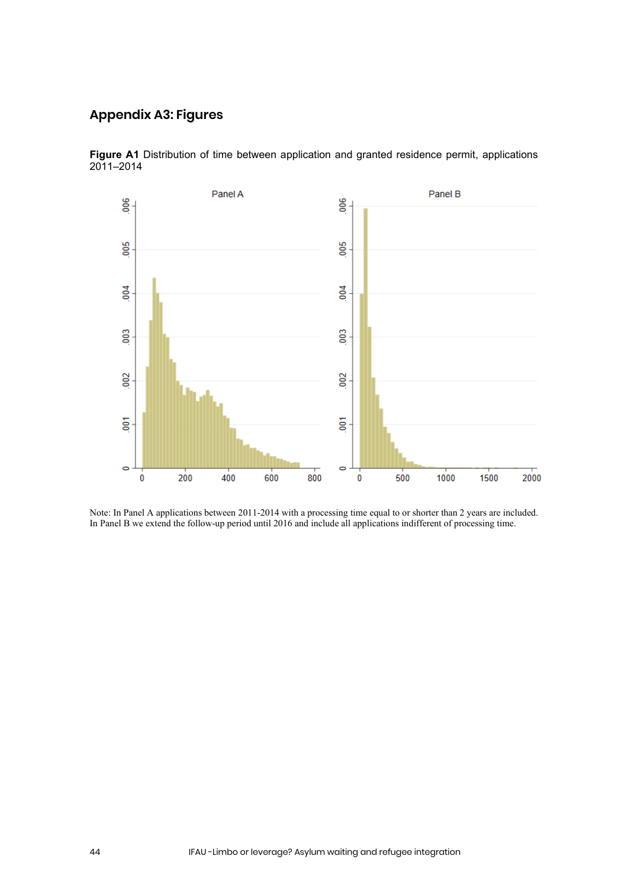## <span id="page-43-0"></span>**Appendix A3: Figures**



<span id="page-43-1"></span>**Figure A1** Distribution of time between application and granted residence permit, applications 2011–2014

Note: In Panel A applications between 2011-2014 with a processing time equal to or shorter than 2 years are included. In Panel B we extend the follow-up period until 2016 and include all applications indifferent of processing time.